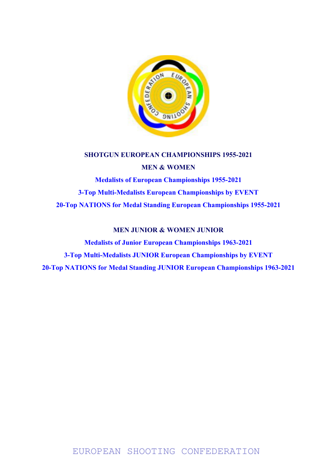

SHOTGUN EUROPEAN CHAMPIONSHIPS 1955-2021 MEN & WOMEN Medalists of European Championships 1955-2021 3-Top Multi-Medalists European Championships by EVENT 20-Top NATIONS for Medal Standing European Championships 1955-2021

### MEN JUNIOR & WOMEN JUNIOR

Medalists of Junior European Championships 1963-2021 3-Top Multi-Medalists JUNIOR European Championships by EVENT 20-Top NATIONS for Medal Standing JUNIOR European Championships 1963-2021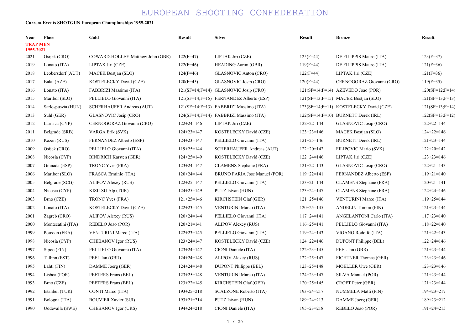### Current Events SHOTGUN European Championships 1955-2021

| Year                         | Place              | Gold                             | <b>Result</b>    | <b>Silver</b>                              | <b>Result</b>    | <b>Bronze</b>                          | <b>Result</b>     |
|------------------------------|--------------------|----------------------------------|------------------|--------------------------------------------|------------------|----------------------------------------|-------------------|
| <b>TRAP MEN</b><br>1955-2021 |                    |                                  |                  |                                            |                  |                                        |                   |
| 2021                         | Osijek (CRO)       | COWARD-HOLLEY Matthew John (GBR) | $122(F=47)$      | LIPTAK Jiri (CZE)                          | $125(F=44)$      | DE FILIPPIS Mauro (ITA)                | $123(F=37)$       |
| 2019                         | Lonato (ITA)       | LIPTAK Jiri (CZE)                | $122(F=46)$      | <b>HEADING Aaron (GBR)</b>                 | $119(F=44)$      | DE FILIPPIS Mauro (ITA)                | $121(F=36)$       |
| 2018                         | Leobersdorf (AUT)  | <b>MACEK Bostjan (SLO)</b>       | $124(F=46)$      | GLASNOVIC Anton (CRO)                      | $122(F=44)$      | LIPTAK Jiri (CZE)                      | $121(F=36)$       |
| 2017                         | Baku (AZE)         | KOSTELECKY David (CZE)           | $120(F=45)$      | GLASNOVIC Josip (CRO)                      | $120(F=44)$      | CERNOGORAZ Giovanni (CRO)              | $119(F=35)$       |
| 2016                         | Lonato (ITA)       | FABBRIZI Massimo (ITA)           |                  | $121(SF=14; F=14)$ GLASNOVIC Josip (CRO)   |                  | $121(SF=14; F=14)$ AZEVEDO Joao (POR)  | $120(SF=12;F=14)$ |
| 2015                         | Maribor (SLO)      | PELLIELO Giovanni (ITA)          |                  | $121(SF=14; F=15)$ FERNANDEZ Alberto (ESP) |                  | 121(SF=13;F=15) MACEK Bostjan (SLO)    | $121(SF=13;F=13)$ |
| 2014                         | Sarlospuszta (HUN) | SCHERHAUFER Andreas (AUT)        |                  | 121(SF=14;F=13) FABBRIZI Massimo (ITA)     |                  | 123(SF=14;F=11) KOSTELECKY David (CZE) | $121(SF=13;F=14)$ |
| 2013                         | Suhl (GER)         | GLASNOVIC Josip (CRO)            |                  | 124(SF=14;F=14) FABBRIZI Massimo (ITA)     |                  | 122(SF=14;F=10) BURNETT Derek (IRL)    | $122(SF=13;F=12)$ |
| 2012                         | Larnaca (CYP)      | CERNOGORAZ Giovanni (CRO)        | $122+24=146$     | LIPTAK Jiri (CZE)                          | $122+22=144$     | GLASNOVIC Josip (CRO)                  | $122+22=144$      |
| 2011                         | Belgrade (SRB)     | VARGA Erik (SVK)                 | $124+23=147$     | KOSTELECKY David (CZE)                     | $123+23=146$     | <b>MACEK Bostjan (SLO)</b>             | $124+22=146$      |
| 2010                         | Kazan (RUS)        | FERNANDEZ Alberto (ESP)          | $124+23=147$     | PELLIELO Giovanni (ITA)                    | $121+25=146$     | <b>BURNETT Derek (IRL)</b>             | $121+23=144$      |
| 2009                         | Osijek (CRO)       | PELLIELO Giovanni (ITA)          | $119+25=144$     | SCHERHAUFER Andreas (AUT)                  | $122+20=142$     | FILIPOVIC Mario (SVK)                  | $122+20=142$      |
| 2008                         | Nicosia (CYP)      | <b>BINDRICH Karsten (GER)</b>    | $124+25=149$     | KOSTELECKY David (CZE)                     | $122+24=146$     | LIPTAK Jiri (CZE)                      | $123+23=146$      |
| 2007                         | Granada (ESP)      | TRONC Yves (FRA)                 | $123 + 24 = 147$ | CLAMENS Stephane (FRA)                     | $121+22=143$     | GLASNOVIC Josip (CRO)                  | $122+21=143$      |
| 2006                         | Maribor (SLO)      | FRASCA Erminio (ITA)             | $120+24=144$     | BRUNO FARIA Jose Manuel (POR)              | $119+22=141$     | FERNANDEZ Alberto (ESP)                | $119+21=140$      |
| 2005                         | Belgrade (SCG)     | <b>ALIPOV Alexey (RUS)</b>       | $122+25=147$     | PELLIELO Giovanni (ITA)                    | $123 + 21 = 144$ | CLAMENS Stephane (FRA)                 | $120+21=141$      |
| 2004                         | Nicosia (CYP)      | KIZILSU Alp (TUR)                | $124+25=149$     | PUTZ Istvan (HUN)                          | $123 + 24 = 147$ | CLAMENS Stephane (FRA)                 | $122+24=146$      |
| 2003                         | Brno (CZE)         | TRONC Yves (FRA)                 | $121+25=146$     | KIRCHSTEIN Olaf (GER)                      | $121+25=146$     | <b>VENTURINI Marco (ITA)</b>           | $119+25=144$      |
| 2002                         | Lonato (ITA)       | KOSTELECKY David (CZE)           | $122+23=145$     | <b>VENTURINI Marco (ITA)</b>               | $120+25=145$     | ANDELIN Tommi (FIN)                    | $121+23=144$      |
| 2001                         | Zagreb (CRO)       | <b>ALIPOV Alexey (RUS)</b>       | $120+24=144$     | PELLIELO Giovanni (ITA)                    | $117+24=141$     | ANGELANTONI Carlo (ITA)                | $117+23=140$      |
| 2000                         | Montecatini (ITA)  | REBELO Joao (POR)                | $120+21=141$     | ALIPOV Alexey (RUS)                        | $116+25=141$     | PELLIELO Giovanni (ITA)                | $118+22=140$      |
| 1999                         | Poussan (FRA)      | <b>VENTURINI Marco (ITA)</b>     | $122+23=145$     | PELLIELO Giovanni (ITA)                    | $119 + 24 = 143$ | VIGANO Rodolfo (ITA)                   | $121+22=143$      |
| 1998                         | Nicosia (CYP)      | CHEBANOV Igor (RUS)              | $123 + 24 = 147$ | KOSTELECKY David (CZE)                     | $124+22=146$     | <b>DUPONT Philippe (BEL)</b>           | $122+24=146$      |
| 1997                         | Sipoo (FIN)        | PELLIELO Giovanni (ITA)          | $123 + 24 = 147$ | CIONI Daniele (ITA)                        | $122+23=145$     | PEEL Ian (GBR)                         | $121+23=144$      |
| 1996                         | Tallinn (EST)      | PEEL Ian (GBR)                   | $124 + 24 = 148$ | <b>ALIPOV Alexey (RUS)</b>                 | $122+25=147$     | FICHTNER Thomas (GER)                  | $123+23=146$      |
| 1995                         | Lahti (FIN)        | DAMME Joerg (GER)                | $124+24=148$     | DUPONT Philippe (BEL)                      | $123+25=148$     | MOELLER Uwe (GER)                      | $123+23=146$      |
| 1994                         | Lisboa (POR)       | PEETERS Frans (BEL)              | $123+25=148$     | <b>VENTURINI Marco (ITA)</b>               | $124+23=147$     | SILVA Manuel (POR)                     | $121+23=144$      |
| 1993                         | Brno (CZE)         | PEETERS Frans (BEL)              | $123+22=145$     | <b>KIRCHSTEIN Olaf (GER)</b>               | $120+25=145$     | CROFT Peter (GBR)                      | $121+23=144$      |
| 1992                         | Istanbul (TUR)     | CONTI Marco (ITA)                | $193+25=218$     | <b>SCALZONE Roberto (ITA)</b>              | $193 + 24 = 217$ | NUMMELA Matti (FIN)                    | $194 + 23 = 217$  |
| 1991                         | Bologna (ITA)      | <b>BOUVIER Xavier (SUI)</b>      | $193 + 21 = 214$ | PUTZ Istvan (HUN)                          | $189 + 24 = 213$ | DAMME Joerg (GER)                      | $189 + 23 = 212$  |
| 1990                         | Uddevalla (SWE)    | <b>CHEBANOV</b> Igor (URS)       | $194 + 24 = 218$ | CIONI Daniele (ITA)                        | $195+23=218$     | REBELO Joao (POR)                      | $191+24=215$      |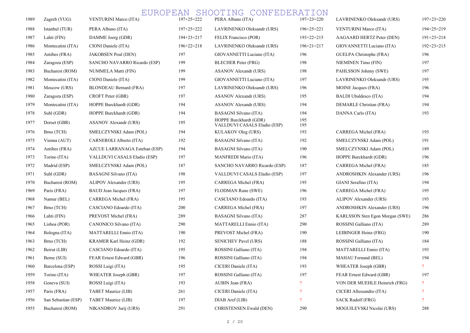| 1989 | Zagreb (YUG)        | <b>VENTURINI Marco (ITA)</b>  | $197+25=222$     | PERA Albano (ITA)                                      | $197+23=220$               | LAVRINENKO Oleksandr (URS)      | $197+23=220$             |
|------|---------------------|-------------------------------|------------------|--------------------------------------------------------|----------------------------|---------------------------------|--------------------------|
| 1988 | Istanbul (TUR)      | PERA Albano (ITA)             | $197+25=222$     | LAVRINENKO Oleksandr (URS)                             | $196+25=221$               | <b>VENTURINI Marco (ITA)</b>    | $194 + 25 = 219$         |
| 1987 | Lahti (FIN)         | DAMME Joerg (GDR)             | $194 + 23 = 217$ | FELIX Francisco (POR)                                  | $193+22=215$               | AAGAARD HERTZ Peter (DEN)       | $191+23=214$             |
| 1986 | Montecatini (ITA)   | CIONI Daniele (ITA)           | $196+22=218$     | LAVRINENKO Oleksandr (URS)                             | $196+21=217$               | GIOVANNETTI Luciano (ITA)       | $192 + 23 = 215$         |
| 1985 | Antibes (FRA)       | <b>JAKOBSEN Poul (DEN)</b>    | 197              | GIOVANNETTI Luciano (ITA)                              | 196                        | GUELPA Christophe (FRA)         | 196                      |
| 1984 | Zaragoza (ESP)      | SANCHO NAVARRO Ricardo (ESP)  | 199              | BLECHER Peter (FRG)                                    | 198                        | <b>NIEMINEN Timo (FIN)</b>      | 197                      |
| 1983 | Bucharest (ROM)     | NUMMELA Matti (FIN)           | 199              | ASANOV Alexandr (URS)                                  | 198                        | PAHLSSON Johnny (SWE)           | 197                      |
| 1982 | Montecatini (ITA)   | CIONI Daniele (ITA)           | 199              | GIOVANNETTI Luciano (ITA)                              | 197                        | LAVRINENKO Oleksandr (URS)      | 195                      |
| 1981 | Moscow (URS)        | BLONDEAU Bernard (FRA)        | 197              | LAVRINENKO Oleksandr (URS)                             | 196                        | MOINE Jacques (FRA)             | 196                      |
| 1980 | Zaragoza (ESP)      | CROFT Peter (GBR)             | 197              | ASANOV Alexandr (URS)                                  | 195                        | <b>BALDI</b> Ubaldesco (ITA)    | 194                      |
| 1979 | Montecatini (ITA)   | HOPPE Burckhardt (GDR)        | 194              | ASANOV Alexandr (URS)                                  | 194                        | DEMARLE Christian (FRA)         | 194                      |
| 1978 | Suhl (GDR)          | HOPPE Burckhardt (GDR)        | 194              | <b>BASAGNI Silvano (ITA)</b>                           | 194                        | DANNA Carlo (ITA)               | 193                      |
| 1977 | Dorset (GBR)        | ASANOV Alexandr (URS)         | 195              | HOPPE Burckhardt (GDR)<br>VALLDUVI CASALS Eladio (ESP) | 195<br>195                 |                                 |                          |
| 1976 | Brno (TCH)          | SMELCZYNSKI Adam (POL)        | 194              | KULAKOV Oleg (URS)                                     | 193                        | CARREGA Michel (FRA)            | 193                      |
| 1975 | Vienna (AUT)        | CARNEROLI Alberto (ITA)       | 192              | <b>BASAGNI Silvano (ITA)</b>                           | 192                        | SMELCZYNSKI Adam (POL)          | 191                      |
| 1974 | Antibes (FRA)       | AZCUE LARRANAGA Esteban (ESP) | 194              | <b>BASAGNI Silvano (ITA)</b>                           | 190                        | SMELCZYNSKI Adam (POL)          | 189                      |
| 1973 | Torino (ITA)        | VALLDUVI CASALS Eladio (ESP)  | 197              | MANFREDI Mario (ITA)                                   | 196                        | HOPPE Burckhardt (GDR)          | 196                      |
| 1972 | Madrid (ESP)        | SMELCZYNSKI Adam (POL)        | 187              | SANCHO NAVARRO Ricardo (ESP)                           | 187                        | CARREGA Michel (FRA)            | 185                      |
| 1971 | Suhl (GDR)          | <b>BASAGNI Silvano (ITA)</b>  | 198              | VALLDUVI CASALS Eladio (ESP)                           | 197                        | ANDROSHKIN Alexander (URS)      | 196                      |
| 1970 | Bucharest (ROM)     | ALIPOV Alexander (URS)        | 195              | CARREGA Michel (FRA)                                   | 195                        | GIANI Serafino (ITA)            | 194                      |
| 1969 | Paris (FRA)         | BAUD Jean Jacques (FRA)       | 197              | FLODMAN Rune (SWE)                                     | 196                        | CARREGA Michel (FRA)            | 195                      |
| 1968 | Namur (BEL)         | CARREGA Michel (FRA)          | 195              | CASCIANO Edoardo (ITA)                                 | 193                        | ALIPOV Alexander (URS)          | 193                      |
| 1967 | Brno (TCH)          | CASCIANO Edoardo (ITA)        | 200              | CARREGA Michel (FRA)                                   | 197                        | ANDROSHKIN Alexander (URS)      | 196                      |
| 1966 | Lahti (FIN)         | PREVOST Michel (FRA)          | 289              | BASAGNI Silvano (ITA)                                  | 287                        | KARLSSON Sten Egon Morgan (SWE) | 286                      |
| 1965 | Lisboa (POR)        | CANONICO Silvano (ITA)        | 290              | MATTARELLI Ennio (ITA)                                 | 290                        | ROSSINI Galliano (ITA)          | 289                      |
| 1964 | Bologna (ITA)       | MATTARELLI Ennio (ITA)        | 190              | PREVOST Michel (FRA)                                   | 190                        | LEIBINGER Heinz (FRG)           | 190                      |
| 1963 | Brno (TCH)          | KRAMER Karl Heinz (GDR)       | 192              | <b>SENICHEV Pavel (URS)</b>                            | 188                        | ROSSINI Galliano (ITA)          | 184                      |
| 1962 | Beirut (LIB)        | CASCIANO Edoardo (ITA)        | 195              | ROSSINI Galliano (ITA)                                 | 194                        | MATTARELLI Ennio (ITA)          | 193                      |
| 1961 | Berne (SUI)         | FEAR Ernest Edward (GBR)      | 196              | ROSSINI Galliano (ITA)                                 | 194                        | MAHAU Fernand (BEL)             | 194                      |
| 1960 | Barcelona (ESP)     | ROSSI Luigi (ITA)             | 195              | CICERI Daniele (ITA)                                   | 193                        | WHEATER Joseph (GBR)            |                          |
| 1959 | Torino (ITA)        | WHEATER Joseph (GBR)          | 197              | ROSSINI Galliano (ITA)                                 | 197                        | FEAR Ernest Edward (GBR)        | 197                      |
| 1958 | Geneva (SUI)        | ROSSI Luigi (ITA)             | 193              | AUBIN Jean (FRA)                                       | $\overline{\mathcal{E}}$   | VON DER MUEHLE Heinrich (FRG)   | $\mathcal{P}$            |
| 1957 | Paris (FRA)         | TABET Maurice (LIB)           | 261              | CICERI Daniele (ITA)                                   | $\boldsymbol{\mathcal{P}}$ | CICERI Allessandro (ITA)        | $\cdot$                  |
| 1956 | San Sebastian (ESP) | TABET Maurice (LIB)           | 197              | DIAB Aref (LIB)                                        | $\overline{\mathcal{E}}$   | <b>SACK Rudolf (FRG)</b>        | $\overline{\mathcal{L}}$ |
| 1955 | Bucharest (ROM)     | NIKANDROV Jurij (URS)         | 291              | <b>CHRISTENSEN Ewald (DEN)</b>                         | 290                        | MOGUILEVSKI Nicolai (URS)       | 288                      |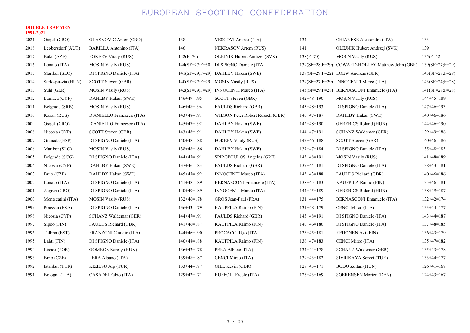#### DOUBLE TRAP MEN 1991-2021

| 2021 | Osijek (CRO)       | <b>GLASNOVIC Anton (CRO)</b> | 138          | VESCOVI Andrea (ITA)                    | 134          | CHIANESE Alessandro (ITA)                        | 133               |
|------|--------------------|------------------------------|--------------|-----------------------------------------|--------------|--------------------------------------------------|-------------------|
| 2018 | Leobersdorf (AUT)  | BARILLA Antonino (ITA)       | 146          | NEKRASOV Artem (RUS)                    | 141          | OLEJNIK Hubert Andrzej (SVK)                     | 139               |
| 2017 | Baku (AZE)         | <b>FOKEEV Vitaly (RUS)</b>   | $142(F=70)$  | OLEJNIK Hubert Andrzej (SVK)            | $138(F=70)$  | <b>MOSIN Vasily (RUS)</b>                        | $135(F=52)$       |
| 2016 | Lonato (ITA)       | <b>MOSIN Vasily (RUS)</b>    |              | 144(SF=27;F=30) DI SPIGNO Daniele (ITA) |              | 139(SF=28;F=29) COWARD-HOLLEY Matthew John (GBR) | $139(SF=27;F=29)$ |
| 2015 | Maribor (SLO)      | DI SPIGNO Daniele (ITA)      |              | 141(SF=29;F=29) DAHLBY Hakan (SWE)      |              | 139(SF=29;F=22) LOEW Andreas (GER)               | $143(SF=28;F=29)$ |
| 2014 | Sarlospuszta (HUN) | SCOTT Steven (GBR)           |              | $140(SF=27; F=29)$ MOSIN Vasily (RUS)   |              | 139(SF=27;F=29) INNOCENTI Marco (ITA)            | $143(SF=24;F=28)$ |
| 2013 | Suhl (GER)         | <b>MOSIN Vasily (RUS)</b>    |              | 142(SF=29;F=29) INNOCENTI Marco (ITA)   |              | 143(SF=29;F=28) BERNASCONI Emanuele (ITA)        | $141(SF=28;F=28)$ |
| 2012 | Larnaca (CYP)      | DAHLBY Hakan (SWE)           | $146+49=195$ | SCOTT Steven (GBR)                      | $142+48=190$ | <b>MOSIN Vasily (RUS)</b>                        | $144+45=189$      |
| 2011 | Belgrade (SRB)     | <b>MOSIN Vasily (RUS)</b>    | $146+48=194$ | FAULDS Richard (GBR)                    | $145+48=193$ | DI SPIGNO Daniele (ITA)                          | $147+46=193$      |
| 2010 | Kazan (RUS)        | D'ANIELLO Francesco (ITA)    | $143+48=191$ | WILSON Peter Robert Russell (GBR)       | $140+47=187$ | DAHLBY Hakan (SWE)                               | $140+46=186$      |
| 2009 | Osijek (CRO)       | D'ANIELLO Francesco (ITA)    | $145+47=192$ | DAHLBY Hakan (SWE)                      | $142+48=190$ | <b>GEREBICS Roland (HUN)</b>                     | $144+46=190$      |
| 2008 | Nicosia (CYP)      | SCOTT Steven (GBR)           | $143+48=191$ | DAHLBY Hakan (SWE)                      | $144+47=191$ | SCHANZ Waldemar (GER)                            | $139+49=188$      |
| 2007 | Granada (ESP)      | DI SPIGNO Daniele (ITA)      | $140+48=188$ | <b>FOKEEV Vitaly (RUS)</b>              | $142+46=188$ | SCOTT Steven (GBR)                               | $140+46=186$      |
| 2006 | Maribor (SLO)      | <b>MOSIN Vasily (RUS)</b>    | $138+48=186$ | DAHLBY Hakan (SWE)                      | $137+47=184$ | DI SPIGNO Daniele (ITA)                          | $135+48=183$      |
| 2005 | Belgrade (SCG)     | DI SPIGNO Daniele (ITA)      | $144+47=191$ | SPIROPOULOS Angelos (GRE)               | $143+48=191$ | <b>MOSIN Vasily (RUS)</b>                        | $141+48=189$      |
| 2004 | Nicosia (CYP)      | DAHLBY Hakan (SWE)           | $137+46=183$ | FAULDS Richard (GBR)                    | $137+44=181$ | DI SPIGNO Daniele (ITA)                          | $138+43=181$      |
| 2003 | Brno (CZE)         | DAHLBY Hakan (SWE)           | $145+47=192$ | <b>INNOCENTI Marco (ITA)</b>            | $145+43=188$ | FAULDS Richard (GBR)                             | $140+46=186$      |
| 2002 | Lonato (ITA)       | DI SPIGNO Daniele (ITA)      | $141+48=189$ | BERNASCONI Emanuele (ITA)               | $138+45=183$ | KAUPPILA Raimo (FIN)                             | $135+46=181$      |
| 2001 | Zagreb (CRO)       | DI SPIGNO Daniele (ITA)      | $140+49=189$ | <b>INNOCENTI Marco (ITA)</b>            | $144+45=189$ | <b>GEREBICS Roland (HUN)</b>                     | $138+49=187$      |
| 2000 | Montecatini (ITA)  | <b>MOSIN Vasily (RUS)</b>    | $132+46=178$ | GROS Jean-Paul (FRA)                    | $131+44=175$ | BERNASCONI Emanuele (ITA)                        | $132+42=174$      |
| 1999 | Poussan (FRA)      | DI SPIGNO Daniele (ITA)      | $136+43=179$ | KAUPPILA Raimo (FIN)                    | $131+48=179$ | CENCI Mirco (ITA)                                | $133+44=177$      |
| 1998 | Nicosia (CYP)      | SCHANZ Waldemar (GER)        | $144+47=191$ | FAULDS Richard (GBR)                    | $143+48=191$ | DI SPIGNO Daniele (ITA)                          | $143+44=187$      |
| 1997 | Sipoo (FIN)        | FAULDS Richard (GBR)         | $141+46=187$ | KAUPPILA Raimo (FIN)                    | $140+46=186$ | DI SPIGNO Daniele (ITA)                          | $137+48=185$      |
| 1996 | Tallinn (EST)      | FRANZONI Claudio (ITA)       | $144+46=190$ | PROCACCI Ugo (ITA)                      | $136+45=181$ | REIJONEN Aki (FIN)                               | $136+43=179$      |
| 1995 | Lahti (FIN)        | DI SPIGNO Daniele (ITA)      | $140+48=188$ | KAUPPILA Raimo (FIN)                    | $136+47=183$ | CENCI Mirco (ITA)                                | $135+47=182$      |
| 1994 | Lisboa (POR)       | <b>GOMBOS Karoly (HUN)</b>   | $136+42=178$ | PERA Albano (ITA)                       | $134+44=178$ | SCHANZ Waldemar (GER)                            | $135+43=178$      |
| 1993 | Brno (CZE)         | PERA Albano (ITA)            | $139+48=187$ | CENCI Mirco (ITA)                       | $139+43=182$ | SIVRIKAYA Servet (TUR)                           | $133+44=177$      |
| 1992 | Istanbul (TUR)     | KIZILSU Alp (TUR)            | $133+44=177$ | GILL Kevin (GBR)                        | $128+43=171$ | BODO Zoltan (HUN)                                | $126+41=167$      |
| 1991 | Bologna (ITA)      | CASADEI Fabio (ITA)          | $129+42=171$ | <b>BUFFOLI Ercole (ITA)</b>             | $126+43=169$ | <b>SOERENSEN Morten (DEN)</b>                    | $124+43=167$      |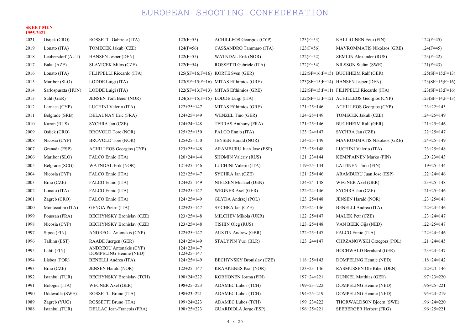#### SKEET MEN 1955-2021

| 2021 | Osijek (CRO)       | ROSSETTI Gabriele (ITA)                                  | $123(F=55)$                  | ACHILLEOS Georgios (CYP)                 | $123(F=53)$      | KALLIOINEN Eetu (FIN)                     | $122(F=45)$       |
|------|--------------------|----------------------------------------------------------|------------------------------|------------------------------------------|------------------|-------------------------------------------|-------------------|
| 2019 | Lonato (ITA)       | TOMECEK Jakub (CZE)                                      | $124(F=56)$                  | CASSANDRO Tammaro (ITA)                  | $123(F=56)$      | <b>MAVROMMATIS Nikolaos (GRE)</b>         | $124(F=45)$       |
| 2018 | Leobersdorf (AUT)  | <b>HANSEN Jesper (DEN)</b>                               | $122(F=55)$                  | <b>WATNDAL Erik (NOR)</b>                | $122(F=52)$      | ZEMLIN Alexander (RUS)                    | $123(F=42)$       |
| 2017 | Baku (AZE)         | <b>SLAVICEK Milos (CZE)</b>                              | $122(F=54)$                  | ROSSETTI Gabriele (ITA)                  | $122(F=54)$      | NILSSON Stefan (SWE)                      | $121(F=43)$       |
| 2016 | Lonato (ITA)       | FILIPPELLI Riccardo (ITA)                                |                              | $125(SF=16; F=16)$ KORTE Sven (GER)      |                  | $122(SF=16; F=15)$ BUCHHEIM Ralf (GER)    | $125(SF=15;F=13)$ |
| 2015 | Maribor (SLO)      | LODDE Luigi (ITA)                                        |                              | $123(SF=15; F=16)$ MITAS Efthimios (GRE) |                  | $123(SF=15; F=14)$ HANSEN Jesper (DEN)    | $123(SF=15;F=16)$ |
| 2014 | Sarlospuszta (HUN) | LODDE Luigi (ITA)                                        |                              | $122(SF=13; F=13)$ MITAS Efthimios (GRE) |                  | 122(SF=15;F=11) FILIPPELLI Riccardo (ITA) | $123(SF=13;F=16)$ |
| 2013 | Suhl (GER)         | JENSEN Tom Beier (NOR)                                   |                              | $124(SF=15; F=15)$ LODDE Luigi (ITA)     |                  | 122(SF=15;F=12) ACHILLEOS Georgios (CYP)  | $123(SF=14;F=13)$ |
| 2012 | Larnaca (CYP)      | LUCHINI Valerio (ITA)                                    | $122+25=147$                 | MITAS Efthimios (GRE)                    | $121+25=146$     | ACHILLEOS Georgios (CYP)                  | $123+22=145$      |
| 2011 | Belgrade (SRB)     | DELAUNAY Eric (FRA)                                      | $124+25=149$                 | WENZEL Tino (GER)                        | $124+25=149$     | TOMECEK Jakub (CZE)                       | $124+25=149$      |
| 2010 | Kazan (RUS)        | SYCHRA Jan (CZE)                                         | $124 + 24 = 148$             | TERRAS Anthony (FRA)                     | $121+25=146$     | <b>BUCHHEIM Ralf (GER)</b>                | $121+25=146$      |
| 2009 | Osijek (CRO)       | BROVOLD Tore (NOR)                                       | $125+25=150$                 | FALCO Ennio (ITA)                        | $123 + 24 = 147$ | SYCHRA Jan (CZE)                          | $122+25=147$      |
| 2008 | Nicosia (CYP)      | BROVOLD Tore (NOR)                                       | $125+25=150$                 | JENSEN Harald (NOR)                      | $124+25=149$     | <b>MAVROMMATIS Nikolaos (GRE)</b>         | $124+25=149$      |
| 2007 | Granada (ESP)      | ACHILLEOS Georgios (CYP)                                 | $123+25=148$                 | ARAMBURU Juan Jose (ESP)                 | $123+25=148$     | LUCHINI Valerio (ITA)                     | $123+25=148$      |
| 2006 | Maribor (SLO)      | FALCO Ennio (ITA)                                        | $120+24=144$                 | <b>SHOMIN Valeriy (RUS)</b>              | $121+23=144$     | <b>KEMPPAINEN Marko (FIN)</b>             | $120+23=143$      |
| 2005 | Belgrade (SCG)     | <b>WATNDAL Erik (NOR)</b>                                | $121+25=146$                 | LUCHINI Valerio (ITA)                    | $119+25=144$     | <b>LAITINEN Timo (FIN)</b>                | $119+25=144$      |
| 2004 | Nicosia (CYP)      | FALCO Ennio (ITA)                                        | $122+25=147$                 | SYCHRA Jan (CZE)                         | $121+25=146$     | ARAMBURU Juan Jose (ESP)                  | $122+24=146$      |
| 2003 | Brno (CZE)         | FALCO Ennio (ITA)                                        | $124+25=149$                 | NIELSEN Michael (DEN)                    | $124 + 24 = 148$ | WEGNER Axel (GER)                         | $123+25=148$      |
| 2002 | Lonato (ITA)       | FALCO Ennio (ITA)                                        | $122+25=147$                 | WEGNER Axel (GER)                        | $122+24=146$     | SYCHRA Jan (CZE)                          | $121+25=146$      |
| 2001 | Zagreb $(CRO)$     | FALCO Ennio (ITA)                                        | $124+25=149$                 | GLYDA Andrzej (POL)                      | $123+25=148$     | <b>JENSEN Harald (NOR)</b>                | $123+25=148$      |
| 2000 | Montecatini (ITA)  | GENGA Pietro (ITA)                                       | $122+25=147$                 | SYCHRA Jan (CZE)                         | $122+24=146$     | <b>BENELLI Andrea (ITA)</b>               | $122+24=146$      |
| 1999 | Poussan (FRA)      | <b>BECHYNSKY Bronislav (CZE)</b>                         | $123+25=148$                 | MILCHEV Mikola (UKR)                     | $122+25=147$     | MALEK Petr (CZE)                          | $123 + 24 = 147$  |
| 1998 | Nicosia (CYP)      | <b>BECHYNSKY Bronislav (CZE)</b>                         | $123+25=148$                 | TISHIN Oleg (RUS)                        | $123+25=148$     | VAN BEEK Gijs (NED)                       | $122+25=147$      |
| 1997 | Sipoo (FIN)        | <b>ANDREOU Antonakis (CYP)</b>                           | $122+25=147$                 | <b>AUSTIN Andrew (GBR)</b>               | $122+25=147$     | FALCO Ennio (ITA)                         | $122+24=146$      |
| 1996 | Tallinn (EST)      | RAABE Juergen (GER)                                      | $124+25=149$                 | STALYPIN Yuri (BLR)                      | $123 + 24 = 147$ | CHRZANOWSKI Grzegorz (POL)                | $121 + 24 = 145$  |
| 1995 | Lahti (FIN)        | <b>ANDREOU</b> Antonakis (CYP)<br>DOMPELING Hennie (NED) | $124+23=147$<br>$122+25=147$ |                                          |                  | HOCHWALD Bernhard (GER)                   | $123 + 24 = 147$  |
| 1994 | Lisboa (POR)       | <b>BENELLI Andrea (ITA)</b>                              | $124+25=149$                 | <b>BECHYNSKY Bronislav (CZE)</b>         | $118+25=143$     | DOMPELING Hennie (NED)                    | $118 + 24 = 142$  |
| 1993 | Brno (CZE)         | <b>JENSEN Harald (NOR)</b>                               | $122+25=147$                 | <b>KRAAKENES Paal (NOR)</b>              | $123+23=146$     | RASMUSSEN Ole Riber (DEN)                 | $122+24=146$      |
| 1992 | Istanbul (TUR)     | <b>BECHYNSKY Bronislav (TCH)</b>                         | $198 + 24 = 222$             | KORHONEN Jorma (FIN)                     | $197 + 24 = 221$ | DUNKEL Matthias (GER)                     | $197+23=220$      |
| 1991 | Bologna (ITA)      | WEGNER Axel (GER)                                        | $198 + 25 = 223$             | <b>ADAMEC Lubos (TCH)</b>                | $199+23=222$     | DOMPELING Hennie (NED)                    | $196+25=221$      |
| 1990 | Uddevalla (SWE)    | ROSSETTI Bruno (ITA)                                     | $198 + 23 = 221$             | <b>ADAMEC Lubos (TCH)</b>                | $194 + 25 = 219$ | DOMPELING Hennie (NED)                    | $195+24=219$      |
| 1989 | Zagreb (YUG)       | ROSSETTI Bruno (ITA)                                     | $199 + 24 = 223$             | <b>ADAMEC Lubos (TCH)</b>                | 199+23=222       | THORWALDSON Bjoern (SWE)                  | $196 + 24 = 220$  |
| 1988 | Istanbul (TUR)     | DELLAC Jean-Francois (FRA)                               | $198 + 25 = 223$             | GUARDIOLA Jorge (ESP)                    | $196+25=221$     | SEEBERGER Herbert (FRG)                   | $196+25=221$      |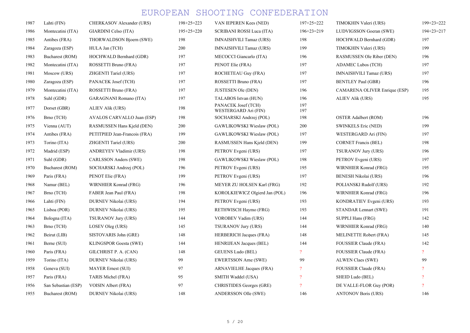| 1987 | Lahti (FIN)         | CHERKASOV Alexander (URS)     | $198 + 25 = 223$ | VAN IEPEREN Kees (NED)                      | $197+25=222$   | TIMOKHIN Valeri (URS)          | $199 + 23 = 222$    |
|------|---------------------|-------------------------------|------------------|---------------------------------------------|----------------|--------------------------------|---------------------|
| 1986 | Montecatini (ITA)   | GIARDINI Celso (ITA)          | $195+25=220$     | SCRIBANI ROSSI Luca (ITA)                   | $196+23=219$   | LUDVIGSSON Goeran (SWE)        | $194 + 23 = 217$    |
| 1985 | Antibes (FRA)       | THORWALDSON Bjoern (SWE)      | 198              | <b>IMNAISHVILI Tamaz (URS)</b>              | 198            | HOCHWALD Bernhard (GDR)        | 197                 |
| 1984 | Zaragoza (ESP)      | HULA Jan (TCH)                | 200              | <b>IMNAISHVILI Tamaz (URS)</b>              | 199            | TIMOKHIN Valeri (URS)          | 199                 |
| 1983 | Bucharest (ROM)     | HOCHWALD Bernhard (GDR)       | 197              | MECOCCI Giancarlo (ITA)                     | 196            | RASMUSSEN Ole Riber (DEN)      | 196                 |
| 1982 | Montecatini (ITA)   | ROSSETTI Bruno (FRA)          | 197              | PENOT Elie (FRA)                            | 197            | <b>ADAMEC Lubos (TCH)</b>      | 197                 |
| 1981 | Moscow (URS)        | ZHGENTI Tariel (URS)          | 197              | ROCHETEAU Guy (FRA)                         | 197            | <b>IMNAISHVILI Tamaz (URS)</b> | 197                 |
| 1980 | Zaragoza (ESP)      | PANACEK Josef (TCH)           | 197              | ROSSETTI Bruno (FRA)                        | 197            | <b>BENTLEY Paul (GBR)</b>      | 196                 |
| 1979 | Montecatini (ITA)   | ROSSETTI Bruno (FRA)          | 197              | <b>JUSTESEN Ole (DEN)</b>                   | 196            | CAMARENA OLIVER Enrique (ESP)  | 195                 |
| 1978 | Suhl (GDR)          | <b>GARAGNANI Romano (ITA)</b> | 197              | TALABOS Istvan (HUN)                        | 196            | ALIEV Alik (URS)               | 195                 |
| 1977 | Dorset (GBR)        | <b>ALIEV Alik (URS)</b>       | 198              | PANACEK Josef (TCH)<br>WESTERGARD Ari (FIN) | 197<br>197     |                                |                     |
| 1976 | Brno (TCH)          | AVALOS CARVALLO Juan (ESP)    | 198              | SOCHARSKI Andrzej (POL)                     | 198            | <b>OSTER Adalbert (ROM)</b>    | 196                 |
| 1975 | Vienna (AUT)        | RASMUSSEN Hans Kjeld (DEN)    | 200              | GAWLIKOWSKI Wieslaw (POL)                   | 200            | <b>SWINKELS Eric (NED)</b>     | 199                 |
| 1974 | Antibes (FRA)       | PETITPIED Jean-Francois (FRA) | 199              | GAWLIKOWSKI Wieslaw (POL)                   | 197            | WESTERGARD Ari (FIN)           | 197                 |
| 1973 | Torino (ITA)        | ZHGENTI Tariel (URS)          | 200              | RASMUSSEN Hans Kjeld (DEN)                  | 199            | <b>CORNET Francis (BEL)</b>    | 198                 |
| 1972 | Madrid (ESP)        | ANDREYEV Vladimir (URS)       | 198              | PETROV Evgeni (URS)                         | 197            | TSURANOV Jury (URS)            | 196                 |
| 1971 | Suhl (GDR)          | CARLSSON Anders (SWE)         | 198              | GAWLIKOWSKI Wieslaw (POL)                   | 198            | PETROV Evgeni (URS)            | 197                 |
| 1970 | Bucharest (ROM)     | SOCHARSKI Andrzej (POL)       | 196              | PETROV Evgeni (URS)                         | 195            | WIRNHIER Konrad (FRG)          | 195                 |
| 1969 | Paris (FRA)         | PENOT Elie (FRA)              | 199              | PETROV Evgeni (URS)                         | 197            | <b>BENESH Nikolai (URS)</b>    | 196                 |
| 1968 | Namur (BEL)         | WIRNHIER Konrad (FRG)         | 196              | MEYER ZU HOLSEN Karl (FRG)                  | 192            | POLIANSKI Rudolf (URS)         | 192                 |
| 1967 | Brno (TCH)          | FABER Jean Paul (FRA)         | 198              | KOROLKIEWICZ Olgierd Jan (POL)              | 196            | WIRNHIER Konrad (FRG)          | 196                 |
| 1966 | Lahti (FIN)         | DURNEV Nikolai (URS)          | 194              | PETROV Evgeni (URS)                         | 193            | KONDRATIEV Evgeni (URS)        | 193                 |
| 1965 | Lisboa (POR)        | DURNEV Nikolai (URS)          | 195              | RETHWISCH Haymo (FRG)                       | 193            | STANDAR Lennart (SWE)          | 191                 |
| 1964 | Bologna (ITA)       | <b>TSURANOV Jury (URS)</b>    | 144              | VOROBEV Vadim (URS)                         | 144            | <b>SUPPLI Hans (FRG)</b>       | 142                 |
| 1963 | Brno (TCH)          | LOSEV Oleg (URS)              | 145              | TSURANOV Jury (URS)                         | 144            | WIRNHIER Konrad (FRG)          | 140                 |
| 1962 | Beirut (LIB)        | SISTOVARIS John (GRE)         | 148              | <b>HERBERICH Jacques (FRA)</b>              | 148            | MELINETTE Robert (FRA)         | 145                 |
| 1961 | Berne (SUI)         | <b>KLINGSPOR Goesta (SWE)</b> | 144              | <b>HENRIJEAN Jacques (BEL)</b>              | 144            | FOUSSIER Claude (FRA)          | 142                 |
| 1960 | Paris (FRA)         | GILCHRIST P. A. (CAN)         | 148              | <b>GEUENS Ludo (BEL)</b>                    | $\overline{?}$ | FOUSSIER Claude (FRA)          | $\overline{?}$      |
| 1959 | Torino (ITA)        | DURNEV Nikolai (URS)          | 99               | EWERTSSON Arne (SWE)                        | 99             | <b>ALWEN Claes (SWE)</b>       | 99                  |
| 1958 | Geneva (SUI)        | <b>MAYER Ernest (SUI)</b>     | 97               | ARNAVIELHE Jacques (FRA)                    | $\overline{?}$ | FOUSSIER Claude (FRA)          | $\boldsymbol{\eta}$ |
| 1957 | Paris (FRA)         | TARIS Michel (FRA)            | 95               | SMITH Waddel (USA)                          | $\overline{?}$ | SHEID Ludo (BEL)               | $\boldsymbol{\eta}$ |
| 1956 | San Sebastian (ESP) | VOISIN Albert (FRA)           | 97               | <b>CHRISTIDES Georges (GRE)</b>             | $\overline{?}$ | DE VALLE-FLOR Guy (POR)        | $\boldsymbol{\eta}$ |
| 1955 | Bucharest (ROM)     | DURNEV Nikolai (URS)          | 148              | ANDERSSON Olle (SWE)                        | 146            | <b>ANTONOV Boris (URS)</b>     | 146                 |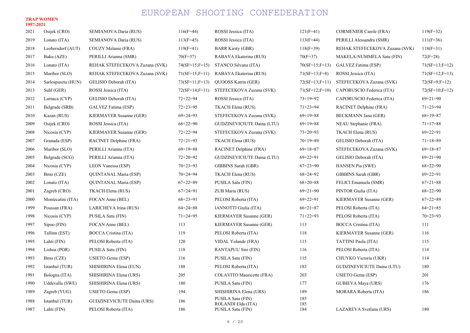#### TRAP WOMEN 1957-2021

| 2021 | Osijek (CRO)       | SEMIANOVA Daria (RUS)          | $116(F=44)$       | ROSSI Jessica (ITA)                     | $121(F=41)$       | <b>CORMENIER Carole (FRA)</b>  | $119(F=32)$      |
|------|--------------------|--------------------------------|-------------------|-----------------------------------------|-------------------|--------------------------------|------------------|
| 2019 | Lonato (ITA)       | SEMIANOVA Daria (RUS)          | $113(F=45)$       | ROSSI Jessica (ITA)                     | $113(F=44)$       | PERILLI Alessandra (SMR)       | $111(F=36)$      |
| 2018 | Leobersdorf (AUT)  | COUZY Melanie (FRA)            | $119(F=41)$       | <b>BARR Kirsty (GBR)</b>                | $118(F=39)$       | REHAK STEFECEKOVA Zuzana (SVK) | $118(F=31)$      |
| 2017 | Baku (AZE)         | PERILLI Arianna (SMR)          | $70(F=37)$        | RABAYA Ekaterina (RUS)                  | $70(F=37)$        | MAKELA-NUMMELA Satu (FIN)      | $72(F=28)$       |
| 2016 | Lonato (ITA)       | REHAK STEFECEKOVA Zuzana (SVK) | $74(SF=15; F=15)$ | STANCO Silvana (ITA)                    | $70(SF=15; F=13)$ | GALVEZ Fatima (ESP)            | $71(SF=13;F=12)$ |
| 2015 | Maribor (SLO)      | REHAK STEFECEKOVA Zuzana (SVK) | $71(SF=15;F=11)$  | RABAYA Ekaterina (RUS)                  | $71(SF=13;F=8)$   | ROSSI Jessica (ITA)            | $71(SF=12;F=13)$ |
| 2014 | Sarlospuszta (HUN) | GELISIO Deborah (ITA)          | $73(SF=11;F=13)$  | QUOOSS Katrin (GER)                     | $72(SF=13;F=11)$  | STEFECEKOVA Zuzana (SVK)       | $72(SF=9;F=12)$  |
| 2013 | Suhl (GER)         | ROSSI Jessica (ITA)            | $72(SF=14;F=11)$  | STEFECEKOVA Zuzana (SVK)                | $71(SF=12;F=10)$  | CAPORUSCIO Federica (ITA)      | $72(SF=10;F=12)$ |
| 2012 | Larnaca (CYP)      | GELISIO Deborah (ITA)          | $72 + 22 = 94$    | ROSSI Jessica (ITA)                     | $73+19=92$        | CAPORUSCIO Federica (ITA)      | $69 + 21 = 90$   |
| 2011 | Belgrade (SRB)     | GALVEZ Fatima (ESP)            | $72 + 23 = 95$    | TKACH Elena (RUS)                       | $71+23=94$        | RACINET Delphine (FRA)         | $71+23=94$       |
| 2010 | Kazan (RUS)        | KIERMAYER Susanne (GER)        | $69 + 24 = 93$    | STEFECEKOVA Zuzana (SVK)                | $69+19=88$        | <b>BECKMANN Jana (GER)</b>     | $68+19=87$       |
| 2009 | Osijek (CRO)       | ROSSI Jessica (ITA)            | $68+22=90$        | GUDZINEVICIUTE Daina (LTU)              | $69+19=88$        | NEAU Stephanie (FRA)           | $71+17=88$       |
| 2008 | Nicosia (CYP)      | KIERMAYER Susanne (GER)        | $72 + 22 = 94$    | STEFECEKOVA Zuzana (SVK)                | $73+20=93$        | TKACH Elena (RUS)              | $69+22=91$       |
| 2007 | Granada (ESP)      | RACINET Delphine (FRA)         | $72 + 21 = 93$    | TKACH Elena (RUS)                       | $70+19=89$        | GELISIO Deborah (ITA)          | $71+18=89$       |
| 2006 | Maribor (SLO)      | PERILLI Arianna (ITA)          | $69+19=88$        | RACINET Delphine (FRA)                  | $69+18=87$        | STEFECEKOVA Zuzana (SVK)       | $69+18=87$       |
| 2005 | Belgrade (SCG)     | PERILLI Arianna (ITA)          | $72+20=92$        | GUDZINEVICIUTE Daina (LTU)              | $69+22=91$        | GELISIO Deborah (ITA)          | $69 + 21 = 90$   |
| 2004 | Nicosia (CYP)      | LEON Vanessa (ESP)             | $70+23=93$        | GIBBINS Sarah (GBR)                     | $67+23=90$        | <b>HANSEN Pia (SWE)</b>        | $68+22=90$       |
| 2003 | Brno (CZE)         | QUINTANAL Maria (ESP)          | $70+24=94$        | TKACH Elena (RUS)                       | $68 + 24 = 92$    | GIBBINS Sarah (GBR)            | $69+22=91$       |
| 2002 | Lonato (ITA)       | <b>QUINTANAL Maria (ESP)</b>   | $67+22=89$        | PUSILA Satu (FIN)                       | $68+20=88$        | FELICI Emanuela (SMR)          | $67+21=88$       |
| 2001 | Zagreb (CRO)       | TKACH Elena (RUS)              | $67+24=91$        | ZUB Maria (RUS)                         | $69 + 21 = 90$    | PINTOR Giulia (ITA)            | $68+22=90$       |
| 2000 | Montecatini (ITA)  | FOCAN Anne (BEL)               | $68+23=91$        | PELOSI Roberta (ITA)                    | $69+22=91$        | KIERMAYER Susanne (GER)        | $67+22=89$       |
| 1999 | Poussan (FRA)      | LARICHEVA Irina (RUS)          | $64 + 24 = 88$    | IANNOTTI Giulia (ITA)                   | $66+21=87$        | PELOSI Roberta (ITA)           | $64 + 21 = 85$   |
| 1998 | Nicosia (CYP)      | PUSILA Satu (FIN)              | $71+24=95$        | KIERMAYER Susanne (GER)                 | $71+22=93$        | PELOSI Roberta (ITA)           | $70+23=93$       |
| 1997 | Sipoo (FIN)        | FOCAN Anne (BEL)               | 113               | KIERMAYER Susanne (GER)                 | 113               | BOCCA Cristina (ITA)           | 111              |
| 1996 | Tallinn (EST)      | BOCCA Cristina (ITA)           | 119               | PELOSI Roberta (ITA)                    | 118               | KIERMAYER Susanne (GER)        | 116              |
| 1995 | Lahti (FIN)        | PELOSI Roberta (ITA)           | 120               | VIDAL Yolande (FRA)                     | 115               | TATTINI Paola (ITA)            | 115              |
| 1994 | Lisboa (POR)       | PUSILA Satu (FIN)              | 118               | RANTAPUU Sini (FIN)                     | 116               | PELOSI Roberta (ITA)           | 114              |
| 1993 | Brno (CZE)         | USIETO Gema (ESP)              | 116               | PUSILA Satu (FIN)                       | 115               | CHUYKO Victoria (UKR)          | 114              |
| 1992 | Istanbul (TUR)     | SHISHIRINA Elena (EUN)         | 188               | PELOSI Roberta (ITA)                    | 183               | GUDZINEVICIUTE Daina (LTU)     | 180              |
| 1991 | Bologna (ITA)      | SHISHIRINA Elena (URS)         | 205               | COLAVITO Mauricette (FRA)               | 203               | USIETO Gema (ESP)              | 201              |
| 1990 | Uddevalla (SWE)    | SHISHIRINA Elena (URS)         | 180               | PUSILA Satu (FIN)                       | 177               | GUBIEVA Maya (URS)             | 176              |
| 1989 | Zagreb (YUG)       | USIETO Gema (ESP)              | 194               | SHISHIRINA Elena (URS)                  | 189               | MORARA Roberta (ITA)           | 186              |
| 1988 | Istanbul (TUR)     | GUDZINEVICIUTE Daina (URS)     | 186               | PUSILA Satu (FIN)<br>ROLANDI Elda (ITA) | 185<br>185        |                                |                  |
| 1987 | Lahti (FIN)        | PELOSI Roberta (ITA)           | 186               | PUSILA Satu (FIN)                       | 184               | LAZAREVA Svetlana (URS)        | 180              |
|      |                    |                                |                   |                                         |                   |                                |                  |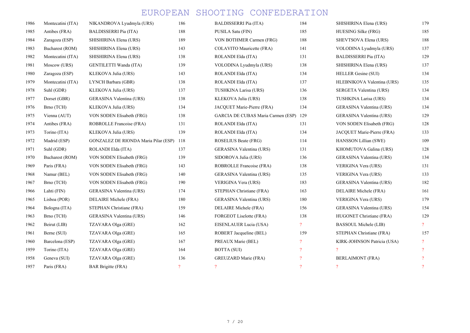| 1986 | Montecatini (ITA) | NIKANDROVA Lyudmyla (URS)            | 186           | <b>BALDISSERRI Pia (ITA)</b>       | 184            | SHISHIRINA Elena (URS)          | 179            |
|------|-------------------|--------------------------------------|---------------|------------------------------------|----------------|---------------------------------|----------------|
| 1985 | Antibes (FRA)     | <b>BALDISSERRI Pia (ITA)</b>         | 188           | PUSILA Satu (FIN)                  | 185            | HUESING Silke (FRG)             | 185            |
| 1984 | Zaragoza (ESP)    | SHISHIRINA Elena (URS)               | 189           | VON BOTHMER Carmen (FRG)           | 188            | SHEVTSOVA Elena (URS)           | 188            |
| 1983 | Bucharest (ROM)   | SHISHIRINA Elena (URS)               | 143           | COLAVITO Mauricette (FRA)          | 141            | VOLODINA Lyudmyla (URS)         | 137            |
| 1982 | Montecatini (ITA) | SHISHIRINA Elena (URS)               | 138           | ROLANDI Elda (ITA)                 | 131            | <b>BALDISSERRI Pia (ITA)</b>    | 129            |
| 1981 | Moscow (URS)      | <b>GENTILETTI Wanda (ITA)</b>        | 139           | VOLODINA Lyudmyla (URS)            | 138            | SHISHIRINA Elena (URS)          | 137            |
| 1980 | Zaragoza (ESP)    | KLEKOVA Julia (URS)                  | 143           | ROLANDI Elda (ITA)                 | 134            | <b>HELLER</b> Gesine (SUI)      | 134            |
| 1979 | Montecatini (ITA) | LYNCH Barbara (GBR)                  | 138           | ROLANDI Elda (ITA)                 | 137            | HLEBNIKOVA Valentina (URS)      | 135            |
| 1978 | Suhl (GDR)        | KLEKOVA Julia (URS)                  | 137           | TUSHKINA Larisa (URS)              | 136            | SERGETA Valentina (URS)         | 134            |
| 1977 | Dorset (GBR)      | <b>GERASINA Valentina (URS)</b>      | 138           | KLEKOVA Julia (URS)                | 138            | TUSHKINA Larisa (URS)           | 134            |
| 1976 | Brno (TCH)        | KLEKOVA Julia (URS)                  | 134           | JACQUET Marie-Pierre (FRA)         | 134            | GERASINA Valentina (URS)        | 134            |
| 1975 | Vienna (AUT)      | VON SODEN Elisabeth (FRG)            | 138           | GARCIA DE CUBAS Maria Carmen (ESP) | 129            | GERASINA Valentina (URS)        | 129            |
| 1974 | Antibes (FRA)     | ROBROLLE Francoise (FRA)             | 131           | ROLANDI Elda (ITA)                 | 131            | VON SODEN Elisabeth (FRG)       | 128            |
| 1973 | Torino (ITA)      | KLEKOVA Julia (URS)                  | 139           | ROLANDI Elda (ITA)                 | 134            | JACQUET Marie-Pierre (FRA)      | 133            |
| 1972 | Madrid (ESP)      | GONZALEZ DE RIONDA Maria Pilar (ESP) | 118           | <b>ROSELIUS Beate (FRG)</b>        | 114            | HANSSON Lillian (SWE)           | 109            |
| 1971 | Suhl (GDR)        | ROLANDI Elda (ITA)                   | 137           | GERASINA Valentina (URS)           | 131            | KHOMUTOVA Galina (URS)          | 128            |
| 1970 | Bucharest (ROM)   | VON SODEN Elisabeth (FRG)            | 139           | SIDOROVA Julia (URS)               | 136            | <b>GERASINA Valentina (URS)</b> | 134            |
| 1969 | Paris (FRA)       | VON SODEN Elisabeth (FRG)            | 143           | ROBROLLE Francoise (FRA)           | 138            | VERIGINA Vera (URS)             | 131            |
| 1968 | Namur (BEL)       | VON SODEN Elisabeth (FRG)            | 140           | <b>GERASINA Valentina (URS)</b>    | 135            | VERIGINA Vera (URS)             | 133            |
| 1967 | Brno (TCH)        | VON SODEN Elisabeth (FRG)            | 190           | <b>VERIGINA Vera (URS)</b>         | 183            | GERASINA Valentina (URS)        | 182            |
| 1966 | Lahti (FIN)       | <b>GERASINA Valentina (URS)</b>      | 174           | STEPHAN Christiane (FRA)           | 163            | DELAIRE Michele (FRA)           | 161            |
| 1965 | Lisboa (POR)      | DELAIRE Michele (FRA)                | 180           | <b>GERASINA Valentina (URS)</b>    | 180            | VERIGINA Vera (URS)             | 179            |
| 1964 | Bologna (ITA)     | STEPHAN Christiane (FRA)             | 159           | DELAIRE Michele (FRA)              | 156            | GERASINA Valentina (URS)        | 154            |
| 1963 | Brno (TCH)        | <b>GERASINA Valentina (URS)</b>      | 146           | <b>FORGEOT Liselotte (FRA)</b>     | 138            | HUGONET Christiane (FRA)        | 129            |
| 1962 | Beirut (LIB)      | TZAVARA Olga (GRE)                   | 162           | EISENLAUER Lucia (USA)             | $\overline{?}$ | <b>BASSOUL Michele (LIB)</b>    | $\overline{?}$ |
| 1961 | Berne (SUI)       | TZAVARA Olga (GRE)                   | 165           | ROBERT Jacqueline (BEL)            | 159            | STEPHAN Christiane (FRA)        | 157            |
| 1960 | Barcelona (ESP)   | TZAVARA Olga (GRE)                   | 167           | PREAUX Marie (BEL)                 | 2              | KIRK-JOHNSON Patricia (USA)     | $\overline{?}$ |
| 1959 | Torino (ITA)      | TZAVARA Olga (GRE)                   | 164           | BOTTA (SUI)                        |                | $\overline{?}$                  | $\overline{?}$ |
| 1958 | Geneva (SUI)      | TZAVARA Olga (GRE)                   | 136           | GREUZARD Marie (FRA)               |                | <b>BERLAIMONT</b> (FRA)         | $\overline{?}$ |
| 1957 | Paris (FRA)       | <b>BAR Brigitte (FRA)</b>            | $\mathcal{P}$ | $\overline{?}$                     | $\mathcal{P}$  | $\overline{?}$                  | $\overline{?}$ |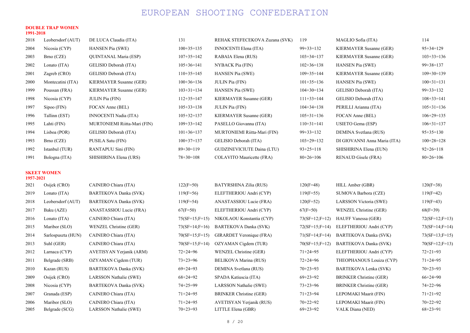#### DOUBLE TRAP WOMEN 1991-2018

| 2018         | Leobersdorf (AUT)               | DE LUCA Claudia (ITA)                          | 131                      | REHAK STEFECEKOVA Zuzana (SVK)                 | 119                      | MAGLIO Sofia (ITA)                        | 114                      |
|--------------|---------------------------------|------------------------------------------------|--------------------------|------------------------------------------------|--------------------------|-------------------------------------------|--------------------------|
| 2004         | Nicosia (CYP)                   | HANSEN Pia (SWE)                               | $100+35=135$             | INNOCENTI Elena (ITA)                          | $99+33=132$              | KIERMAYER Susanne (GER)                   | $95 + 34 = 129$          |
| 2003         | Brno (CZE)                      | QUINTANAL Maria (ESP)                          | $107+35=142$             | RABAIA Elena (RUS)                             | $103+34=137$             | KIERMAYER Susanne (GER)                   | $103+33=136$             |
| 2002         | Lonato (ITA)                    | GELISIO Deborah (ITA)                          | $105+36=141$             | NYBACK Pia (FIN)                               | $102+36=138$             | <b>HANSEN Pia (SWE)</b>                   | $99 + 38 = 137$          |
| 2001         | Zagreb $(CRO)$                  | GELISIO Deborah (ITA)                          | $110+35=145$             | <b>HANSEN Pia (SWE)</b>                        | $109 + 35 = 144$         | KIERMAYER Susanne (GER)                   | $109+30=139$             |
| 2000         | Montecatini (ITA)               | KIERMAYER Susanne (GER)                        | $100+36=136$             | <b>JULIN</b> Pia (FIN)                         | $101+35=136$             | <b>HANSEN Pia (SWE)</b>                   | $100+31=131$             |
| 1999         | Poussan (FRA)                   | KIERMAYER Susanne (GER)                        | $103+31=134$             | <b>HANSEN Pia (SWE)</b>                        | $104+30=134$             | GELISIO Deborah (ITA)                     | $99 + 33 = 132$          |
| 1998         | Nicosia (CYP)                   | <b>JULIN Pia (FIN)</b>                         | $112+35=147$             | KIERMAYER Susanne (GER)                        | $111+33=144$             | GELISIO Deborah (ITA)                     | $108 + 33 = 141$         |
| 1997         | $Sipoo$ (FIN)                   | FOCAN Anne (BEL)                               | $105+33=138$             | JULIN Pia (FIN)                                | $104 + 34 = 138$         | PERILLI Arianna (ITA)                     | $105 + 31 = 136$         |
| 1996         | Tallinn (EST)                   | INNOCENTI Nadia (ITA)                          | $105+32=137$             | KIERMAYER Susanne (GER)                        | $105+31=136$             | FOCAN Anne (BEL)                          | $106+29=135$             |
| 1995         | Lahti (FIN)                     | MURTONIEMI Riitta-Mari (FIN)                   | $109 + 33 = 142$         | PASELLO Giovanna (ITA)                         | $110+31=141$             | USIETO Gema (ESP)                         | $106 + 31 = 137$         |
| 1994         | Lisboa (POR)                    | GELISIO Deborah (ITA)                          | $101+36=137$             | MURTONIEMI Riitta-Mari (FIN)                   | $99+33=132$              | DEMINA Svetlana (RUS)                     | $95+35=130$              |
| 1993         | Brno (CZE)                      | PUSILA Satu (FIN)                              | $100+37=137$             | GELISIO Deborah (ITA)                          | $103+29=132$             | DI GIOVANNI Anna Maria (ITA)              | $100+28=128$             |
| 1992         | Istanbul (TUR)                  | RANTAPUU Sini (FIN)                            | $89+30=119$              | GUDZINEVICIUTE Daina (LTU)                     | $93+25=118$              | SHISHIRINA Elena (EUN)                    | $92+26=118$              |
| 1991         | Bologna (ITA)                   | SHISHIRINA Elena (URS)                         | $78+30=108$              | COLAVITO Mauricette (FRA)                      | $80+26=106$              | RENAUD Gisele (FRA)                       | $80+26=106$              |
| 1957-2021    | <b>SKEET WOMEN</b>              |                                                |                          |                                                |                          |                                           |                          |
| 2021         | Osijek (CRO)                    | CAINERO Chiara (ITA)                           | $122(F=50)$              | BATYRSHINA Zilia (RUS)                         | $120(F=48)$              | HILL Amber (GBR)                          | $120(F=38)$              |
| 2019         | Lonato (ITA)                    | BARTEKOVA Danka (SVK)                          | $119(F=56)$              | ELEFTHERIOU Andri (CYP)                        | $119(F=55)$              | SUMOVA Barbora (CZE)                      | $119(F=42)$              |
| 2018         | Leobersdorf (AUT)               | BARTEKOVA Danka (SVK)                          | $119(F=54)$              | ANASTASSIOU Lucie (FRA)                        | $120(F=52)$              | LARSSON Victoria (SWE)                    | $119(F=43)$              |
| 2017         | Baku (AZE)                      | ANASTASSIOU Lucie (FRA)                        | $67(F=50)$               | ELEFTHERIOU Andri (CYP)                        | $67(F=50)$               | WENZEL Christine (GER)                    | $68(F=39)$               |
| 2016         | Lonato (ITA)                    | CAINERO Chiara (ITA)                           | $75(SF=15; F=15)$        | NIKOLAOU Konstantia (CYP)                      | $73(SF=12;F=12)$         | <b>HAUFF Vanessa (GER)</b>                | $72(SF=12;F=13)$         |
| 2015         | Maribor (SLO)                   | WENZEL Christine (GER)                         | $73(SF=14;F=16)$         | BARTEKOVA Danka (SVK)                          | $72(SF=15;F=14)$         | ELEFTHERIOU Andri (CYP)                   | $73(SF=14;F=14)$         |
| 2014         | Sarlospuszta (HUN)              | CAINERO Chiara (ITA)                           | $70(SF=15; F=15)$        | GIRARDET Veronique (FRA)                       | $71(SF=14;F=14)$         | BARTEKOVA Danka (SVK)                     | $73(SF=13;F=15)$         |
| 2013         | Suhl (GER)                      | CAINERO Chiara (ITA)                           | $70(SF=15;F=14)$         | OZYAMAN Cigdem (TUR)                           | $70(SF=15;F=12)$         | BARTEKOVA Danka (SVK)                     | $70(SF=12;F=13)$         |
| 2012         | Larnaca (CYP)                   | AVETISYAN Yerjanik (ARM)                       | $72 + 24 = 96$           | WENZEL Christine (GER)                         | $71 + 24 = 95$           | ELEFTHERIOU Andri (CYP)                   | $72 + 21 = 93$           |
| 2011         | Belgrade (SRB)                  | OZYAMAN Cigdem (TUR)                           | $73+23=96$               | BELIKOVA Marina (RUS)                          | $72 + 24 = 96$           | THEOPHANOUS Louiza (CYP)                  | $71+24=95$               |
| 2010         | Kazan (RUS)                     | BARTEKOVA Danka (SVK)                          | $69 + 24 = 93$           | DEMINA Svetlana (RUS)                          | $70+23=93$               | BARTEKOVA Lenka (SVK)                     | $70+23=93$               |
| 2009         | Osijek (CRO)                    | LARSSON Nathalie (SWE)                         | $68 + 24 = 92$           | SPADA Katiuscia (ITA)                          | $69+23=92$               | <b>BRINKER Christine (GER)</b>            | $66+24=90$               |
| 2008         | Nicosia (CYP)                   | BARTEKOVA Danka (SVK)                          | $74 + 25 = 99$           | LARSSON Nathalie (SWE)                         | $73 + 23 = 96$           | <b>BRINKER Christine (GER)</b>            | $74+22=96$               |
| 2007         | Granada (ESP)                   | CAINERO Chiara (ITA)                           | $71+24=95$               | <b>BRINKER Christine (GER)</b>                 | $71+23=94$               | LEPOMAKI Maarit (FIN)                     | $71+21=92$               |
| 2006<br>2005 | Maribor (SLO)<br>Belgrade (SCG) | CAINERO Chiara (ITA)<br>LARSSON Nathalie (SWE) | $71+24=95$<br>$70+23=93$ | AVETISYAN Yerjanik (RUS)<br>LITTLE Elena (GBR) | $70+22=92$<br>$69+23=92$ | LEPOMAKI Maarit (FIN)<br>VALK Diana (NED) | $70+22=92$<br>$68+23=91$ |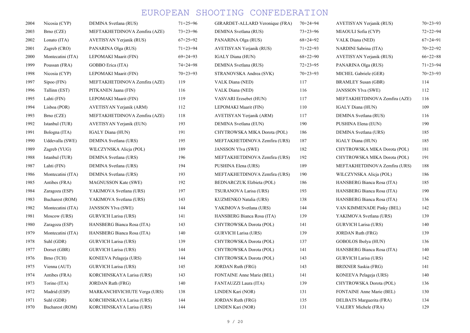| 2004 | Nicosia (CYP)     | DEMINA Svetlana (RUS)         | $71+25=96$     | GIRARDET-ALLARD Veronique (FRA)  | $70+24=94$     | AVETISYAN Yerjanik (RUS)      | $70+23=93$     |
|------|-------------------|-------------------------------|----------------|----------------------------------|----------------|-------------------------------|----------------|
| 2003 | Brno (CZE)        | MEFTAKHETDINOVA Zemfira (AZE) | $73 + 23 = 96$ | DEMINA Svetlana (RUS)            | $73 + 23 = 96$ | MIAOULI Sofia (CYP)           | $72 + 22 = 94$ |
| 2002 | Lonato (ITA)      | AVETISYAN Yerjanik (RUS)      | $67+25=92$     | PANARINA Olga (RUS)              | $68 + 24 = 92$ | VALK Diana (NED)              | $67+24=91$     |
| 2001 | Zagreb (CRO)      | PANARINA Olga (RUS)           | $71+23=94$     | AVETISYAN Yerjanik (RUS)         | $71+22=93$     | NARDINI Sabrina (ITA)         | $70+22=92$     |
| 2000 | Montecatini (ITA) | LEPOMAKI Maarit (FIN)         | $69 + 24 = 93$ | IGALY Diana (HUN)                | $68 + 22 = 90$ | AVETISYAN Yerjanik (RUS)      | $66+22=88$     |
| 1999 | Poussan (FRA)     | GOBBO Erica (ITA)             | $74 + 24 = 98$ | DEMINA Svetlana (RUS)            | $72 + 23 = 95$ | PANARINA Olga (RUS)           | $71 + 23 = 94$ |
| 1998 | Nicosia (CYP)     | LEPOMAKI Maarit (FIN)         | $70+23=93$     | STRANOVSKA Andrea (SVK)          | $70+23=93$     | MICHEL Gabriele (GER)         | $70+23=93$     |
| 1997 | Sipoo (FIN)       | MEFTAKHETDINOVA Zemfira (AZE) | 119            | VALK Diana (NED)                 | 117            | <b>BRAMLEY Susan (GBR)</b>    | 114            |
| 1996 | Tallinn (EST)     | PITKANEN Jaana (FIN)          | 116            | VALK Diana (NED)                 | 116            | <b>JANSSON Ylva (SWE)</b>     | 112            |
| 1995 | Lahti (FIN)       | LEPOMAKI Maarit (FIN)         | 119            | VASVARI Erzsebet (HUN)           | 117            | MEFTAKHETDINOVA Zemfira (AZE) | 116            |
| 1994 | Lisboa (POR)      | AVETISYAN Yerjanik (ARM)      | 112            | LEPOMAKI Maarit (FIN)            | 110            | IGALY Diana (HUN)             | 109            |
| 1993 | Brno (CZE)        | MEFTAKHETDINOVA Zemfira (AZE) | 118            | AVETISYAN Yerjanik (ARM)         | 117            | DEMINA Svetlana (RUS)         | 116            |
| 1992 | Istanbul (TUR)    | AVETISYAN Yerjanik (EUN)      | 193            | DEMINA Svetlana (EUN)            | 190            | PUSHINA Elena (EUN)           | 190            |
| 1991 | Bologna (ITA)     | IGALY Diana (HUN)             | 191            | CHYTROWSKA MIKA Dorota (POL)     | 186            | DEMINA Svetlana (URS)         | 185            |
| 1990 | Uddevalla (SWE)   | DEMINA Svetlana (URS)         | 195            | MEFTAKHETDINOVA Zemfira (URS)    | 187            | IGALY Diana (HUN)             | 185            |
| 1989 | Zagreb (YUG)      | WILCZYNSKA Alicja (POL)       | 189            | <b>JANSSON Ylva (SWE)</b>        | 182            | CHYTROWSKA MIKA Dorota (POL)  | 181            |
| 1988 | Istanbul (TUR)    | DEMINA Svetlana (URS)         | 196            | MEFTAKHETDINOVA Zemfira (URS)    | 192            | CHYTROWSKA MIKA Dorota (POL)  | 191            |
| 1987 | Lahti (FIN)       | DEMINA Svetlana (URS)         | 194            | PUSHINA Elena (URS)              | 189            | MEFTAKHETDINOVA Zemfira (URS) | 188            |
| 1986 | Montecatini (ITA) | DEMINA Svetlana (URS)         | 193            | MEFTAKHETDINOVA Zemfira (URS)    | 190            | WILCZYNSKA Alicja (POL)       | 186            |
| 1985 | Antibes (FRA)     | <b>MAGNUSSON Kate (SWE)</b>   | 192            | BEDNARCZUK Elzbieta (POL)        | 186            | HANSBERG Bianca Rosa (ITA)    | 185            |
| 1984 | Zaragoza (ESP)    | YAKIMOVA Svetlana (URS)       | 197            | TSURANOVA Larisa (URS)           | 193            | HANSBERG Bianca Rosa (ITA)    | 190            |
| 1983 | Bucharest (ROM)   | YAKIMOVA Svetlana (URS)       | 143            | KUZMENKO Natalia (URS)           | 138            | HANSBERG Bianca Rosa (ITA)    | 136            |
| 1982 | Montecatini (ITA) | <b>JANSSON Ylva (SWE)</b>     | 144            | YAKIMOVA Svetlana (URS)          | 144            | VAN KIMMENADE Pinky (BEL)     | 142            |
| 1981 | Moscow (URS)      | <b>GURVICH Larisa (URS)</b>   | 141            | HANSBERG Bianca Rosa (ITA)       | 139            | YAKIMOVA Svetlana (URS)       | 139            |
| 1980 | Zaragoza (ESP)    | HANSBERG Bianca Rosa (ITA)    | 143            | CHYTROWSKA Dorota (POL)          | 141            | <b>GURVICH Larisa (URS)</b>   | 140            |
| 1979 | Montecatini (ITA) | HANSBERG Bianca Rosa (ITA)    | 140            | <b>GURVICH Larisa (URS)</b>      | 139            | <b>JORDAN Ruth (FRG)</b>      | 139            |
| 1978 | Suhl (GDR)        | <b>GURVICH Larisa (URS)</b>   | 139            | CHYTROWSKA Dorota (POL)          | 137            | GOBOLOS Ibolya (HUN)          | 136            |
| 1977 | Dorset (GBR)      | <b>GURVICH Larisa (URS)</b>   | 144            | CHYTROWSKA Dorota (POL)          | 141            | HANSBERG Bianca Rosa (ITA)    | 140            |
| 1976 | Brno (TCH)        | KONEEVA Pelageja (URS)        | 144            | CHYTROWSKA Dorota (POL)          | 143            | <b>GURVICH Larisa (URS)</b>   | 142            |
| 1975 | Vienna (AUT)      | <b>GURVICH Larisa (URS)</b>   | 145            | <b>JORDAN Ruth (FRG)</b>         | 143            | <b>BRIXNER Saskia (FRG)</b>   | 141            |
| 1974 | Antibes (FRA)     | KORCHINSKAYA Larisa (URS)     | 143            | <b>FONTAINE Anne Marie (BEL)</b> | 141            | KONEEVA Pelageja (URS)        | 140            |
| 1973 | Torino (ITA)      | <b>JORDAN Ruth (FRG)</b>      | 140            | FANTAUZZI Laura (ITA)            | 139            | CHYTROWSKA Dorota (POL)       | 136            |
| 1972 | Madrid (ESP)      | MARKANCHIVICHUTE Verga (URS)  | 138            | LINDEN Kari (NOR)                | 131            | FONTAINE Anne Marie (BEL)     | 130            |
| 1971 | Suhl (GDR)        | KORCHINSKAYA Larisa (URS)     | 144            | <b>JORDAN Ruth (FRG)</b>         | 135            | DELBATS Marguerita (FRA)      | 134            |
| 1970 | Bucharest (ROM)   | KORCHINSKAYA Larisa (URS)     | 144            | LINDEN Kari (NOR)                | 131            | VALERY Michele (FRA)          | 129            |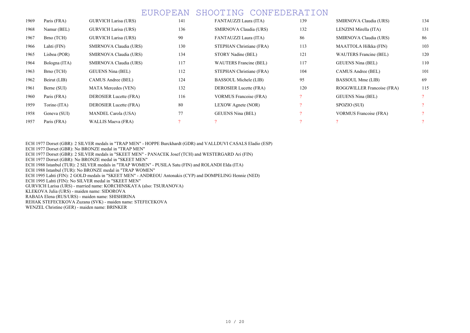| 1969 | Paris (FRA)   | <b>GURVICH Larisa (URS)</b> | 141           | FANTAUZZI Laura (ITA)         | 139      | SMIRNOVA Claudia (URS)        | 134 |
|------|---------------|-----------------------------|---------------|-------------------------------|----------|-------------------------------|-----|
| 1968 | Namur (BEL)   | GURVICH Larisa (URS)        | 136           | SMIRNOVA Claudia (URS)        | 132      | LENZINI Mirella (ITA)         | 131 |
| 1967 | Brno (TCH)    | <b>GURVICH Larisa (URS)</b> | 90            | FANTAUZZI Laura (ITA)         | 86       | SMIRNOVA Claudia (URS)        | 86  |
| 1966 | Lahti (FIN)   | SMIRNOVA Claudia (URS)      | 130           | STEPHAN Christiane (FRA)      | 113      | MAATTOLA Hilkka (FIN)         | 103 |
| 1965 | Lisboa (POR)  | SMIRNOVA Claudia (URS)      | 134           | STORY Nadine (BEL)            | 121      | WAUTERS Francine (BEL)        | 120 |
| 1964 | Bologna (ITA) | SMIRNOVA Claudia (URS)      | 117           | <b>WAUTERS Francine (BEL)</b> | 117      | <b>GEUENS Nina (BEL)</b>      | 110 |
| 1963 | Brno (TCH)    | <b>GEUENS Nina (BEL)</b>    | 112           | STEPHAN Christiane (FRA)      | 104      | CAMUS Andree (BEL)            | 101 |
| 1962 | Beirut (LIB)  | CAMUS Andree (BEL)          | 124           | BASSOUL Michele (LIB)         | 95       | BASSOUL Mme (LIB)             | 69  |
| 1961 | Berne (SUI)   | MATA Mercedes (VEN)         | 132           | DEROSIER Lucette (FRA)        | 120      | ROGGWILLER Francoise (FRA)    | 115 |
| 1960 | Paris (FRA)   | DEROSIER Lucette (FRA)      | 116           | <b>VORMUS Francoise (FRA)</b> | $\Omega$ | <b>GEUENS Nina (BEL)</b>      |     |
| 1959 | Torino (ITA)  | DEROSIER Lucette (FRA)      | 80            | LEXOW Agnete (NOR)            |          | SPOZIO (SUI)                  |     |
| 1958 | Geneva (SUI)  | <b>MANDEL Carola (USA)</b>  | 77            | <b>GEUENS Nina (BEL)</b>      |          | <b>VORMUS Francoise (FRA)</b> |     |
| 1957 | Paris (FRA)   | WALLIS Maeva (FRA)          | $\mathcal{P}$ |                               |          |                               |     |

ECH 1977 Dorset (GBR): 2 SILVER medals in "TRAP MEN" - HOPPE Burckhardt (GDR) and VALLDUVI CASALS Eladio (ESP)

ECH 1977 Dorset (GBR): No BRONZE medal in "TRAP MEN"

ECH 1977 Dorset (GBR): 2 SILVER medals in "SKEET MEN" - PANACEK Josef (TCH) and WESTERGARD Ari (FIN)

ECH 1977 Dorset (GBR): No BRONZE medal in "SKEET MEN"

ECH 1988 Istanbul (TUR): 2 SILVER medals in "TRAP WOMEN" - PUSILA Satu (FIN) and ROLANDI Elda (ITA)

ECH 1988 Istanbul (TUR): No BRONZE medal in "TRAP WOMEN"

ECH 1995 Lahti (FIN): 2 GOLD medals in "SKEET MEN" - ANDREOU Antonakis (CYP) and DOMPELING Hennie (NED)

ECH 1995 Lahti (FIN): No SILVER medal in "SKEET MEN"

GURVICH Larisa (URS) - married name: KORCHINSKAYA (also: TSURANOVA)

KLEKOVA Julia (URS) - maiden name: SIDOROVA

RABAIA Elena (RUS/URS) - maiden name: SHISHIRINA

REHAK STEFECEKOVA Zuzana (SVK) - maiden name: STEFECEKOVA

WENZEL Christine (GER) - maiden name: BRINKER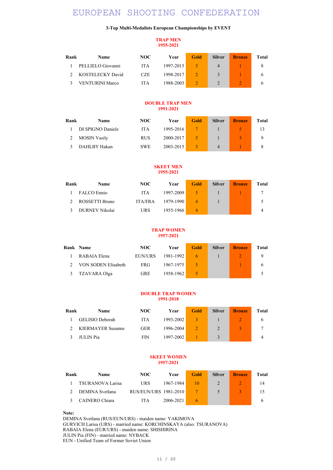### 3-Top Multi-Medalists European Championships by EVENT

### TRAP MEN 1955-2021

| Rank | <b>Name</b>            | NOC        | Year      | Gold | <b>Silver</b> | <b>Bronze</b> | <b>Total</b> |
|------|------------------------|------------|-----------|------|---------------|---------------|--------------|
|      | PELLIELO Giovanni      | <b>ITA</b> | 1997-2015 |      | 4             |               |              |
|      | KOSTELECKY David       | <b>CZE</b> | 1998-2017 |      | 3             |               | <sub>(</sub> |
|      | <b>VENTURINI Marco</b> | ITA        | 1988-2003 |      |               |               |              |

### DOUBLE TRAP MEN 1991-2021

| Rank | <b>Name</b>         | NOC        | Year      | <b>Gold</b> | <b>Silver</b> | <b>Bronze</b> | Total |
|------|---------------------|------------|-----------|-------------|---------------|---------------|-------|
|      | DI SPIGNO Daniele   | <b>ITA</b> | 1995-2016 |             |               |               | 13    |
|      | <b>MOSIN Vasily</b> | <b>RUS</b> | 2000-2017 |             |               |               | Q     |
|      | DAHLBY Hakan        | <b>SWE</b> | 2003-2015 |             | 4             |               | 8     |

### SKEET MEN 1955-2021

| Rank | <b>Name</b>    | NOC            | Year      | Gold | <b>Silver</b> | <b>Bronze</b> | Total |
|------|----------------|----------------|-----------|------|---------------|---------------|-------|
|      | FALCO Ennio    | <b>ITA</b>     | 1997-2009 | 5.   |               |               |       |
|      | ROSSETTI Bruno | <b>ITA/FRA</b> | 1979-1990 | 4    |               |               |       |
|      | DURNEV Nikolai | URS            | 1955-1966 | 4    |               |               |       |

#### TRAP WOMEN 1957-2021

|   | <b>Rank Name</b>    | NOC.       | Year      | Gold | <b>Silver</b> | <b>Bronze</b> | Total |
|---|---------------------|------------|-----------|------|---------------|---------------|-------|
|   | RABAIA Elena        | EUN/URS    | 1981-1992 |      |               |               | 9     |
|   | VON SODEN Elisabeth | FRG.       | 1967-1975 |      |               |               |       |
| 3 | TZAVARA Olga        | <b>GRE</b> | 1958-1962 |      |               |               |       |

### DOUBLE TRAP WOMEN 1991-2018

| Rank | <b>Name</b>       | NOC        | Year      | Gold | <b>Silver</b> | <b>Bronze</b> | <b>Total</b> |
|------|-------------------|------------|-----------|------|---------------|---------------|--------------|
|      | GELISIO Deborah   | ITA        | 1993-2002 |      |               |               | <sub>(</sub> |
|      | KIERMAYER Susanne | <b>GER</b> | 1996-2004 |      | $\mathcal{D}$ |               |              |
|      | <b>III IN Pia</b> | <b>FIN</b> | 1997-2002 |      |               |               |              |

### SKEET WOMEN 1957-2021

| Rank | <b>Name</b>             | NOC.                  | Year      | Gold | <b>Silver</b> | <b>Bronze</b> | Total |
|------|-------------------------|-----------------------|-----------|------|---------------|---------------|-------|
|      | <b>TSURANOVA Larisa</b> | URS                   | 1967-1984 | 10   |               |               | 14    |
|      | DEMINA Svetlana         | RUS/EUN/URS 1981-2010 |           |      | 5             |               | 15    |
|      | CAINERO Chiara          | <b>ITA</b>            | 2006-2021 |      |               |               |       |

Note:

DEMINA Svetlana (RUS/EUN/URS) - maiden name: YAKIMOVA GURVICH Larisa (URS) - married name: KORCHINSKAYA (also: TSURANOVA) RABAIA Elena (EUR/URS) - maiden name: SHISHIRINA

JULIN Pia (FIN) - married name: NYBACK

EUN - Unified Team of Former Soviet Union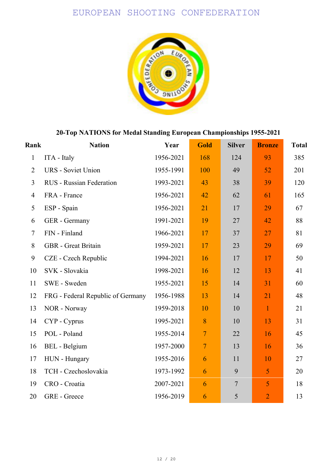

## 20-Top NATIONS for Medal Standing European Championships 1955-2021

| Rank           | <b>Nation</b>                     | Year      | Gold           | <b>Silver</b>    | <b>Bronze</b>  | <b>Total</b> |
|----------------|-----------------------------------|-----------|----------------|------------------|----------------|--------------|
| $\mathbf{1}$   | ITA - Italy                       | 1956-2021 | 168            | 124              | 93             | 385          |
| $\overline{2}$ | <b>URS</b> - Soviet Union         | 1955-1991 | 100            | 49               | 52             | 201          |
| $\overline{3}$ | <b>RUS</b> - Russian Federation   | 1993-2021 | 43             | 38               | 39             | 120          |
| $\overline{4}$ | FRA - France                      | 1956-2021 | 42             | 62               | 61             | 165          |
| 5              | ESP - Spain                       | 1956-2021 | 21             | 17               | 29             | 67           |
| 6              | GER - Germany                     | 1991-2021 | 19             | 27               | 42             | 88           |
| $\tau$         | FIN - Finland                     | 1966-2021 | 17             | 37               | 27             | 81           |
| 8              | <b>GBR</b> - Great Britain        | 1959-2021 | 17             | 23               | 29             | 69           |
| 9              | CZE - Czech Republic              | 1994-2021 | 16             | 17               | 17             | 50           |
| 10             | SVK - Slovakia                    | 1998-2021 | 16             | 12               | 13             | 41           |
| 11             | SWE - Sweden                      | 1955-2021 | 15             | 14               | 31             | 60           |
| 12             | FRG - Federal Republic of Germany | 1956-1988 | 13             | 14               | 21             | 48           |
| 13             | NOR - Norway                      | 1959-2018 | 10             | 10               | $\mathbf{1}$   | 21           |
| 14             | CYP - Cyprus                      | 1995-2021 | 8              | 10               | 13             | 31           |
| 15             | POL - Poland                      | 1955-2014 | $\overline{7}$ | 22               | 16             | 45           |
| 16             | <b>BEL</b> - Belgium              | 1957-2000 | $\overline{7}$ | 13               | 16             | 36           |
| 17             | HUN - Hungary                     | 1955-2016 | 6              | 11               | 10             | 27           |
| 18             | TCH - Czechoslovakia              | 1973-1992 | 6              | 9                | 5              | 20           |
| 19             | CRO - Croatia                     | 2007-2021 | 6              | $\boldsymbol{7}$ | 5              | 18           |
| 20             | GRE - Greece                      | 1956-2019 | 6              | 5                | $\overline{2}$ | 13           |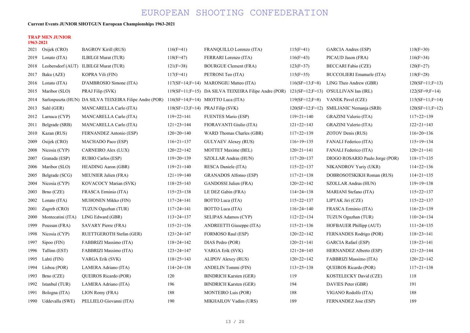### Current Events JUNIOR SHOTGUN European Championships 1963-2021

### TRAP MEN JUNIOR 1963-2021

| 2021 | Osijek (CRO)         | <b>BAGROV Kirill (RUS)</b>                                                                | $116(F=41)$      | FRANQUILLO Lorenzo (ITA)                             | $115(F=41)$      | GARCIA Andres (ESP)                     | $118(F=30)$       |
|------|----------------------|-------------------------------------------------------------------------------------------|------------------|------------------------------------------------------|------------------|-----------------------------------------|-------------------|
| 2019 | Lonato (ITA)         | <b>ILBILGI Murat (TUR)</b>                                                                | $118(F=47)$      | FERRARI Lorenzo (ITA)                                | $116(F=43)$      | PICAUD Jason (FRA)                      | $116(F=34)$       |
| 2018 | Leobersdorf (AUT)    | <b>ILBILGI Murat (TUR)</b>                                                                | $121(F=38)$      | <b>BOURGUE Clement (FRA)</b>                         | $123(F=37)$      | <b>BECCARI Fabio (CZE)</b>              | $120(F=27)$       |
| 2017 | Baku (AZE)           | KOPRA Vili (FIN)                                                                          | $117(F=41)$      | PETRONI Teo (ITA)                                    | $115(F=35)$      | <b>BUCCOLIERI</b> Emanuele (ITA)        | $118(F=28)$       |
| 2016 | Lonato (ITA)         | D'AMBROSIO Simone (ITA)                                                                   |                  | 117(SF=14;F=14) MARONGIU Matteo (ITA)                | $116(SF=13;F=8)$ | LING Theo Andrew (GBR)                  | $120(SF=11;F=13)$ |
| 2015 | Maribor (SLO)        | PRAJ Filip (SVK)                                                                          |                  | 119(SF=11;F=15) DA SILVA TEIXEIRA Filipe Andre (POR) |                  | $121(SF=12; F=13)$ O'SULLIVAN Ian (IRL) | $122(SF=9;F=14)$  |
| 2014 |                      | Sarlospuszta (HUN) DA SILVA TEIXEIRA Filipe Andre (POR) 116(SF=14;F=14) MIOTTO Luca (ITA) |                  |                                                      | $119(SF=12;F=8)$ | <b>VANEK Pavel (CZE)</b>                | $115(SF=11;F=14)$ |
| 2013 | Suhl (GER)           | MANCARELLA Carlo (ITA)                                                                    |                  | 118(SF=13;F=14) PRAJ Filip (SVK)                     |                  | 120(SF=12;F=12) SMILJANIC Nemanja (SRB) | $120(SF=11;F=12)$ |
| 2012 | Larnaca (CYP)        | MANCARELLA Carlo (ITA)                                                                    | $119+22=141$     | <b>FUENTES Mario (ESP)</b>                           | $119+21=140$     | GRAZINI Valerio (ITA)                   | $117+22=139$      |
| 2011 | Belgrade (SRB)       | MANCARELLA Carlo (ITA)                                                                    | $121+23=144$     | FIORAVANTI Giulio (ITA)                              | $121+22=143$     | GRAZINI Valerio (ITA)                   | $122+21=143$      |
| 2010 | Kazan (RUS)          | FERNANDEZ Antonio (ESP)                                                                   | $120+20=140$     | WARD Thomas Charles (GBR)                            | $117+22=139$     | ZOTOV Denis (RUS)                       | $116+20=136$      |
| 2009 | Osijek (CRO)         | MACHADO Paco (ESP)                                                                        | $116+21=137$     | GULYAEV Alexey (RUS)                                 | $116+19=135$     | FANALI Federico (ITA)                   | $115+19=134$      |
| 2008 | Nicosia (CYP)        | <b>CARNEIRO Alex (LUX)</b>                                                                | $120+22=142$     | MOTTET Maxime (BEL)                                  | $120+21=141$     | FANALI Federico (ITA)                   | $120+21=141$      |
| 2007 | Granada (ESP)        | RUBIO Carlos (ESP)                                                                        | $119+20=139$     | <b>SZOLLAR Andras (HUN)</b>                          | $117+20=137$     | DIOGO ROSARIO Paulo Jorge (POR)         | $118+17=135$      |
| 2006 | Maribor (SLO)        | <b>HEADING Aaron (GBR)</b>                                                                | $119+21=140$     | RESCA Daniele (ITA)                                  | $115+22=137$     | NIKANDROV Yuriy (UKR)                   | $114+22=136$      |
| 2005 | Belgrade (SCG)       | MEUNIER Julien (FRA)                                                                      | $121+19=140$     | <b>GRANADOS Alfonso (ESP)</b>                        | $117+21=138$     | DOBROSOTSKIKH Roman (RUS)               | $114+21=135$      |
| 2004 | Nicosia (CYP)        | KOVACOCY Marian (SVK)                                                                     | $118+25=143$     | GANDOSSI Julien (FRA)                                | $120+22=142$     | SZOLLAR Andras (HUN)                    | $119+19=138$      |
| 2003 | Brno (CZE)           | FRASCA Erminio (ITA)                                                                      | $115+23=138$     | LE DEZ Gabin (FRA)                                   | $114+24=138$     | MARIANI Stefano (ITA)                   | $115+22=137$      |
| 2002 | Lonato (ITA)         | <b>MUHONEN Mikko (FIN)</b>                                                                | $117+24=141$     | BOTTO Luca (ITA)                                     | $115+22=137$     | LIPTAK Jiri (CZE)                       | $115+22=137$      |
| 2001 | Zagreb (CRO)         | TUZUN Oguzhan (TUR)                                                                       | $117 + 24 = 141$ | BOTTO Luca (ITA)                                     | $116+24=140$     | FRASCA Erminio (ITA)                    | $116+23=139$      |
| 2000 | Montecatini (ITA)    | LING Edward (GBR)                                                                         | $113+24=137$     | <b>SELIPAS Adamos (CYP)</b>                          | $112+22=134$     | TUZUN Oguzhan (TUR)                     | $110+24=134$      |
| 1999 | Poussan (FRA)        | SAVARY Pierre (FRA)                                                                       | $115+21=136$     | ANDREETTI Giuseppe (ITA)                             | $115+21=136$     | HOFBAUER Phillipp (AUT)                 | $111+24=135$      |
| 1998 | Nicosia (CYP)        | RUETTGEROTH Stefan (GER)                                                                  | $123 + 24 = 147$ | FORMOSO Raul (ESP)                                   | $120+22=142$     | FERNANDES Rodrigo (POR)                 | $118+23=141$      |
| 1997 | Sipoo (FIN)          | FABBRIZI Massimo (ITA)                                                                    | $118 + 24 = 142$ | DIAS Pedro (POR)                                     | $120+21=141$     | <b>GARCIA Rafael (ESP)</b>              | $118+23=141$      |
| 1996 | Tallinn (EST)        | FABBRIZI Massimo (ITA)                                                                    | $123 + 24 = 147$ | VARGA Erik (SVK)                                     | $121+24=145$     | HERNANDEZ Alberto (ESP)                 | $121+23=144$      |
| 1995 | Lahti (FIN)          | VARGA Erik (SVK)                                                                          | $118+25=143$     | ALIPOV Alexey (RUS)                                  | $120+22=142$     | FABBRIZI Massimo (ITA)                  | $120+22=142$      |
| 1994 | Lisboa (POR)         | LAMERA Adriano (ITA)                                                                      | $114+24=138$     | ANDELIN Tommi (FIN)                                  | $113+25=138$     | QUEIROS Ricardo (POR)                   | $117+21=138$      |
| 1993 | Brno (CZE)           | QUEIROS Ricardo (POR)                                                                     | 120              | <b>BINDRICH Karsten (GER)</b>                        | 119              | KOSTELECKY David (CZE)                  | 118               |
| 1992 | Istanbul (TUR)       | LAMERA Adriano (ITA)                                                                      | 196              | <b>BINDRICH Karsten (GER)</b>                        | 194              | DAVIES Peter (GBR)                      | 191               |
| 1991 | Bologna (ITA)        | LION Remy (FRA)                                                                           | 188              | <b>MONTEIRO Luis (POR)</b>                           | 188              | VIGANO Rodolfo (ITA)                    | 188               |
|      | 1990 Uddevalla (SWE) | PELLIELO Giovanni (ITA)                                                                   | 190              | MIKHAILOV Vadim (URS)                                | 189              | <b>FERNANDEZ</b> Jose (ESP)             | 189               |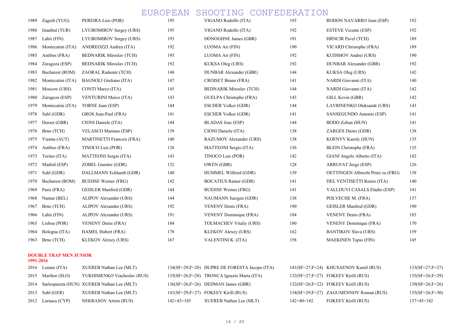| 1989 | Zagreb (YUG)      | PEREIRA Luis (POR)               | 195 | VIGANO Rodolfo (ITA)           | 193 | RODON NAVARRO Joan (ESP)          | 192 |
|------|-------------------|----------------------------------|-----|--------------------------------|-----|-----------------------------------|-----|
| 1988 | Istanbul (TUR)    | LYUBOMIROV Sergey (URS)          | 195 | VIGANO Rodolfo (ITA)           | 192 | <b>ESTEVE Vicente (ESP)</b>       | 192 |
| 1987 | Lahti (FIN)       | LYUBOMIROV Sergey (URS)          | 193 | DONOGHNE James (GBR)           | 191 | <b>HRNCIR Pavel (TCH)</b>         | 189 |
| 1986 | Montecatini (ITA) | ANDREOZZI Andrea (ITA)           | 192 | LUOMA Ari (FIN)                | 190 | VICARD Christophe (FRA)           | 189 |
| 1985 | Antibes (FRA)     | <b>BEDNARIK Miroslav (TCH)</b>   | 195 | LUOMA Ari (FIN)                | 192 | KUDIMOV Andrei (URS)              | 190 |
| 1984 | Zaragoza (ESP)    | <b>BEDNARIK Miroslav (TCH)</b>   | 192 | KUKSA Oleg (URS)               | 192 | DUNBAR Alexander (GBR)            | 192 |
| 1983 | Bucharest (ROM)   | ZAORAL Radomir (TCH)             | 148 | <b>DUNBAR Alexander (GBR)</b>  | 144 | KUKSA Oleg (URS)                  | 142 |
| 1982 | Montecatini (ITA) | <b>BAGNOLI</b> Giuliano (ITA)    | 147 | CROISET Bruno (FRA)            | 141 | NARDI Giovanni (ITA)              | 140 |
| 1981 | Moscow (URS)      | CONTI Marco (ITA)                | 145 | <b>BEDNARIK Miroslav (TCH)</b> | 144 | NARDI Giovanni (ITA)              | 142 |
| 1980 | Zaragoza (ESP)    | <b>VENTURINI Marco (ITA)</b>     | 143 | GUELPA Christophe (FRA)        | 143 | GILL Kevin (GBR)                  | 142 |
| 1979 | Montecatini (ITA) | TORNE Juan (ESP)                 | 144 | <b>ESCHER Volker (GDR)</b>     | 144 | LAVRINENKO Oleksandr (URS)        | 143 |
| 1978 | Suhl (GDR)        | GROS Jean-Paul (FRA)             | 141 | <b>ESCHER Volker (GDR)</b>     | 141 | SANSEGUNDO Antonio (ESP)          | 141 |
| 1977 | Dorset (GBR)      | CIONI Daniele (ITA)              | 144 | <b>BLADAS</b> Jose (ESP)       | 144 | BODO Zoltan (HUN)                 | 141 |
| 1976 | Brno (TCH)        | VELASCO Mariano (ESP)            | 139 | CIONI Daniele (ITA)            | 138 | ZARGES Dieter (GDR)               | 138 |
| 1975 | Vienna (AUT)      | <b>MARTINETTI Francois (FRA)</b> | 140 | RAZUMOV Alexander (URS)        | 138 | KOENYV Karoly (HUN)               | 135 |
| 1974 | Antibes (FRA)     | TINOCO Luis (POR)                | 138 | MATTEONI Sergio (ITA)          | 136 | <b>BLEIN Christophe (FRA)</b>     | 135 |
| 1973 | Torino (ITA)      | MATTEONI Sergio (ITA)            | 143 | TINOCO Luis (POR)              | 142 | GIANI Angelo Alberto (ITA)        | 142 |
| 1972 | Madrid (ESP)      | ZOBEL Guenter (GDR)              | 132 | OWEN (GBR)                     | 128 | ARRUFAT Jorge (ESP)               | 126 |
| 1971 | Suhl (GDR)        | DALLMANN Eckhardt (GDR)          | 140 | HUMMEL Wilfreid (GDR)          | 139 | OETTINGEN Albrecht Prinz zu (FRG) | 138 |
| 1970 | Bucharest (ROM)   | <b>BUEHSE Werner (FRG)</b>       | 142 | <b>BOCATIUS Rainer (GDR)</b>   | 141 | DEL VENTISETTI Renzo (ITA)        | 140 |
| 1969 | Paris (FRA)       | GEISLER Manfred (GDR)            | 144 | <b>BUEHSE Werner (FRG)</b>     | 141 | VALLDUVI CASALS Eladio (ESP)      | 141 |
| 1968 | Namur (BEL)       | ALIPOV Alexander (URS)           | 144 | NAUMANN Juergen (GDR)          | 138 | POLVECHE M. (FRA)                 | 137 |
| 1967 | Brno (TCH)        | ALIPOV Alexander (URS)           | 192 | <b>VENENY Denis (FRA)</b>      | 190 | GEISLER Manfred (GDR)             | 190 |
| 1966 | Lahti (FIN)       | ALIPOV Alexander (URS)           | 191 | VENENY Dominique (FRA)         | 184 | <b>VENENY Denis (FRA)</b>         | 183 |
| 1965 | Lisboa (POR)      | <b>VENENY Denis (FRA)</b>        | 184 | <b>TOLMACHEV Vitaliy (URS)</b> | 180 | <b>VENENY Dominique (FRA)</b>     | 170 |
| 1964 | Bologna (ITA)     | HAMEL Hubert (FRA)               | 178 | KLEKOV Alexey (URS)            | 162 | <b>BANTIKOV Slava (URS)</b>       | 159 |
| 1963 | Brno (TCH)        | KLEKOV Alexey (URS)              | 167 | VALENTINI K. (ITA)             | 158 | <b>MAEKINEN Tapio (FIN)</b>       | 145 |
|      |                   |                                  |     |                                |     |                                   |     |

### DOUBLE TRAP MEN JUNIOR

|  | 2016 Lonato $(ITA)$  | XUEREB Nathan Lee (MLT)                         |            | 134(SF=29;F=28) DUPRE DE FORESTA Jacopo (ITA) |            | 141(SF=27;F=24) KHUSAENOV Kamil (RUS)  | $133(SF=27; F=27)$ |
|--|----------------------|-------------------------------------------------|------------|-----------------------------------------------|------------|----------------------------------------|--------------------|
|  | 2015 Maribor (SLO)   | YUKHIMENKO Viacheslav (RUS)                     |            | $135(SF=26; F=28)$ TRONCA Ignazio Maria (ITA) |            | $132(SF=27; F=27)$ FOKEEV Kirill (RUS) | $135(SF=26;F=29)$  |
|  |                      | 2014 Sarlospuszta (HUN) XUEREB Nathan Lee (MLT) |            | $136(SF=26; F=26)$ DEDMAN James (GBR)         |            | $132(SF=26; F=22)$ FOKEEV Kirill (RUS) | $139(SF=26; F=26)$ |
|  | 2013 Suhl (GER)      | XUEREB Nathan Lee (MLT)                         |            | $141(SF=29; F=27)$ FOKEEV Kirill (RUS)        |            | 134(SF=29;F=27) ZAGUMENNOV Roman (RUS) | $135(SF=26;F=30)$  |
|  | 2012 Larnaca $(CYP)$ | NEKRASOV Artem (RUS)                            | 142+43=185 | XUEREB Nathan Lee (MLT)                       | 142+40=182 | <b>FOKEEV Kirill (RUS)</b>             | $137+45=182$       |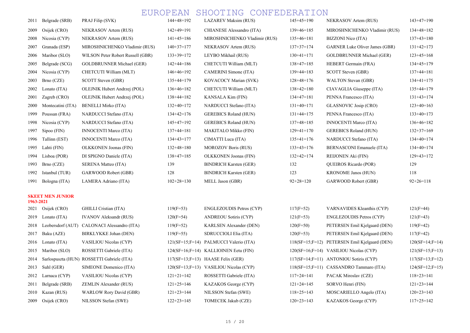| 2011      | Belgrade (SRB)          | PRAJ Filip (SVK)                  | $144+48=192$ | <b>LAZAREV Maksim (RUS)</b>   | $145+45=190$    | NEKRASOV Artem (RUS)                  | $143+47=190$ |
|-----------|-------------------------|-----------------------------------|--------------|-------------------------------|-----------------|---------------------------------------|--------------|
| 2009      | Osijek (CRO)            | NEKRASOV Artem (RUS)              | $142+49=191$ | CHIANESE Alessandro (ITA)     | $139+46=185$    | MIROSHNICHENKO Vladimir (RUS)         | $134+48=182$ |
| 2008      | Nicosia (CYP)           | NEKRASOV Artem (RUS)              | $141+45=186$ | MIROSHNICHENKO Vladimir (RUS) | $135+46=181$    | BIZZONI Nico (ITA)                    | $137+43=180$ |
| 2007      | Granada (ESP)           | MIROSHNICHENKO Vladimir (RUS)     | $140+37=177$ | NEKRASOV Artem (RUS)          | $137+37=174$    | <b>GARNER Luke Oliver James (GBR)</b> | $131+42=173$ |
| 2006      | Maribor (SLO)           | WILSON Peter Robert Russell (GBR) | $133+39=172$ | LEYBO Mikhail (RUS)           | $130+41=171$    | <b>GOLDBRUNNER Michael (GER)</b>      | $123+45=168$ |
| 2005      | Belgrade (SCG)          | <b>GOLDBRUNNER Michael (GER)</b>  | $142+44=186$ | CHETCUTI William (MLT)        | $138+47=185$    | HEBERT Germain (FRA)                  | $134+45=179$ |
| 2004      | Nicosia (CYP)           | CHETCUTI William (MLT)            | $146+46=192$ | CAMERINI Simone (ITA)         | $139+44=183$    | SCOTT Steven (GBR)                    | $137+44=181$ |
| 2003      | Brno (CZE)              | SCOTT Steven (GBR)                | $135+44=179$ | KOVACOCY Marian (SVK)         | $128+48=176$    | <b>WALTON Stevan (GBR)</b>            | $134+41=175$ |
| 2002      | Lonato (ITA)            | OLEJNIK Hubert Andrzej (POL)      | $136+46=182$ | CHETCUTI William (MLT)        | $138+42=180$    | CIAVAGLIA Giuseppe (ITA)              | $135+44=179$ |
| 2001      | Zagreb $(CRO)$          | OLEJNIK Hubert Andrzej (POL)      | $138+44=182$ | KANSALA Kim (FIN)             | $134+47=181$    | PENNA Francesco (ITA)                 | $131+43=174$ |
| 2000      | Montecatini (ITA)       | <b>BENELLI Mirko (ITA)</b>        | $132+40=172$ | NARDUCCI Stefano (ITA)        | $131+40=171$    | GLASNOVIC Josip (CRO)                 | $123+40=163$ |
| 1999      | Poussan (FRA)           | NARDUCCI Stefano (ITA)            | $134+42=176$ | <b>GEREBICS Roland (HUN)</b>  | $131+44=175$    | PENNA Francesco (ITA)                 | $133+40=173$ |
| 1998      | Nicosia (CYP)           | NARDUCCI Stefano (ITA)            | $145+47=192$ | <b>GEREBICS Roland (HUN)</b>  | $137+48=185$    | <b>INNOCENTI Marco (ITA)</b>          | $136+46=182$ |
| 1997      | $Sipoo$ (FIN)           | <b>INNOCENTI Marco (ITA)</b>      | $137+44=181$ | <b>MAKITALO Mikko (FIN)</b>   | $129+41=170$    | <b>GEREBICS Roland (HUN)</b>          | $132+37=169$ |
| 1996      | Tallinn (EST)           | <b>INNOCENTI Marco (ITA)</b>      | $134+43=177$ | CIMATTI Luca (ITA)            | $135+41=176$    | NARDUCCI Stefano (ITA)                | $134+40=174$ |
| 1995      | Lahti (FIN)             | <b>OLKKONEN Joonas (FIN)</b>      | $132+48=180$ | <b>MOROZOV Boris (RUS)</b>    | $133+43=176$    | BERNASCONI Emanuele (ITA)             | $134+40=174$ |
| 1994      | Lisboa (POR)            | DI SPIGNO Daniele (ITA)           | $138+47=185$ | <b>OLKKONEN Joonas (FIN)</b>  | $132+42=174$    | REIJONEN Aki (FIN)                    | $129+43=172$ |
| 1993      | Brno (CZE)              | <b>SERENA Matteo (ITA)</b>        | 139          | <b>BINDRICH Karsten (GER)</b> | 132             | QUEIROS Ricardo (POR)                 | 129          |
| 1992      | Istanbul (TUR)          | GARWOOD Robert (GBR)              | 128          | <b>BINDRICH Karsten (GER)</b> | 123             | <b>KRONOME Janos (HUN)</b>            | 118          |
| 1991      | Bologna (ITA)           | LAMERA Adriano (ITA)              | $102+28=130$ | MELL Jason (GBR)              | $92 + 28 = 120$ | GARWOOD Robert (GBR)                  | $92+26=118$  |
| 1963-2021 | <b>SKEET MEN JUNIOR</b> |                                   |              |                               |                 |                                       |              |

| 2021 | Osijek (CRO)      | GHILLI Cristian (ITA)                      |
|------|-------------------|--------------------------------------------|
| 2019 | Lonato (ITA)      | <b>IVANOV Aleksandr (RUS)</b>              |
| 2018 | Leobersdorf (AUT) | CALONACI Alessandro (ITA)                  |
| 2017 | Baku (AZE)        | BIRKLYKKE Johan (DEN)                      |
| 2016 | Lonato (ITA)      | <b>VASILIOU Nicolas (CYP)</b>              |
| 2015 | Maribor (SLO)     | ROSSETTI Gabriele (ITA)                    |
| 2014 |                   | Sarlospuszta (HUN) ROSSETTI Gabriele (ITA) |
| 2013 | Suhl (GER)        | SIMEONE Domenico (ITA)                     |
| 2012 | Larnaca (CYP)     | <b>VASILIOU Nicolas (CYP)</b>              |
| 2011 | Belgrade (SRB)    | <b>ZEMLIN Alexander (RUS)</b>              |
| 2010 | Kazan (RUS)       | <b>WARLOW Rory David (GBR)</b>             |
| 2009 | Osiiek (CRO)      | NILSSON Stefan (SWE)                       |

| 2021 | Osijek (CRO)   | GHILLI Cristian (ITA)                       | $119(F=53)$  | <b>ENGLEZOUDIS Petros (CYP)</b>           | $117(F=52)$  | VARNAVIDES Kleanthis (CYP)                    | $121(F=44)$  |
|------|----------------|---------------------------------------------|--------------|-------------------------------------------|--------------|-----------------------------------------------|--------------|
| 2019 | Lonato $(ITA)$ | <b>IVANOV Aleksandr (RUS)</b>               | $120(F=54)$  | <b>ANDREOU Sotiris (CYP)</b>              | $121(F=53)$  | <b>ENGLEZOUDIS Petros (CYP)</b>               | $121(F=43)$  |
| 2018 |                | Leobersdorf (AUT) CALONACI Alessandro (ITA) | $119(F=52)$  | <b>KARLSEN Alexander (DEN)</b>            | $120(F=50)$  | PETERSEN Emil Kjelgaard (DEN)                 | $119(F=42)$  |
| 2017 | Baku (AZE)     | BIRKLYKKE Johan (DEN)                       | $119(F=55)$  | SDRUCCIOLI Elia (ITA)                     | $120(F=53)$  | PETERSEN Emil Kjelgaard (DEN)                 | $117(F=42)$  |
| 2016 | Lonato (ITA)   | <b>VASILIOU Nicolas (CYP)</b>               |              | 121(SF=15;F=14) PALMUCCI Valerio (ITA)    |              | 118(SF=15;F=12) PETERSEN Emil Kjelgaard (DEN) | $120(SF =$   |
| 2015 | Maribor (SLO)  | ROSSETTI Gabriele (ITA)                     |              | $124(SF=16; F=14)$ KALLIOINEN Eetu (FIN)  |              | $120(SF=16; F=14)$ VASILIOU Nicolas (CYP)     | $121(SF =$   |
| 2014 |                | Sarlospuszta (HUN) ROSSETTI Gabriele (ITA)  |              | $117(SF=13; F=13)$ HAASE Felix (GER)      |              | $117(SF=14; F=11)$ ANTONIOU Sotiris (CYP)     | $117(SF =$   |
| 2013 | Suhl (GER)     | SIMEONE Domenico (ITA)                      |              | $120(SF=13; F=13)$ VASILIOU Nicolas (CYP) |              | 118(SF=15;F=11) CASSANDRO Tammaro (ITA)       | $124(SF =$   |
| 2012 | Larnaca (CYP)  | <b>VASILIOU Nicolas (CYP)</b>               | $121+21=142$ | ROSSETTI Gabriele (ITA)                   | $117+24=141$ | PACAK Miroslav (CZE)                          | $118 + 23 =$ |
| 2011 | Belgrade (SRB) | <b>ZEMLIN Alexander (RUS)</b>               | $121+25=146$ | KAZAKOS George (CYP)                      | $121+24=145$ | SORVO Henri (FIN)                             | $121+23=$    |
| 2010 | Kazan (RUS)    | <b>WARLOW Rory David (GBR)</b>              | $121+23=144$ | NILSSON Stefan (SWE)                      | $118+25=143$ | MOSCARIELLO Angelo (ITA)                      | $120+23=$    |
| 2009 | Osijek (CRO)   | NILSSON Stefan (SWE)                        | $122+23=145$ | TOMECEK Jakub (CZE)                       | $120+23=143$ | KAZAKOS George (CYP)                          | $117+25=$    |
|      |                |                                             |              |                                           |              |                                               |              |

| 2021 | Osijek (CRO)       | GHILLI Cristian (ITA)          | $119(F=53)$  | <b>ENGLEZOUDIS Petros (CYP)</b>        | $117(F=52)$  | VARNAVIDES Kleanthis (CYP)                    | $121(F=44)$       |
|------|--------------------|--------------------------------|--------------|----------------------------------------|--------------|-----------------------------------------------|-------------------|
| 2019 | Lonato (ITA)       | <b>IVANOV Aleksandr (RUS)</b>  | $120(F=54)$  | <b>ANDREOU Sotiris (CYP)</b>           | $121(F=53)$  | <b>ENGLEZOUDIS Petros (CYP)</b>               | $121(F=43)$       |
| 2018 | Leobersdorf (AUT)  | CALONACI Alessandro (ITA)      | $119(F=52)$  | <b>KARLSEN Alexander (DEN)</b>         | $120(F=50)$  | PETERSEN Emil Kjelgaard (DEN)                 | $119(F=42)$       |
| 2017 | Baku (AZE)         | BIRKLYKKE Johan (DEN)          | $119(F=55)$  | SDRUCCIOLI Elia (ITA)                  | $120(F=53)$  | PETERSEN Emil Kjelgaard (DEN)                 | $117(F=42)$       |
|      | 2016 Lonato (ITA)  | <b>VASILIOU Nicolas (CYP)</b>  |              | 121(SF=15;F=14) PALMUCCI Valerio (ITA) |              | 118(SF=15;F=12) PETERSEN Emil Kjelgaard (DEN) | $120(SF=14;F=14)$ |
| 2015 | Maribor (SLO)      | ROSSETTI Gabriele (ITA)        |              | 124(SF=16;F=14) KALLIOINEN Eetu (FIN)  |              | 120(SF=16;F=14) VASILIOU Nicolas (CYP)        | $121(SF=15;F=13)$ |
| 2014 | Sarlospuszta (HUN) | ROSSETTI Gabriele (ITA)        |              | $117(SF=13; F=13)$ HAASE Felix (GER)   |              | $117(SF=14; F=11)$ ANTONIOU Sotiris (CYP)     | $117(SF=13;F=12)$ |
| 2013 | Suhl (GER)         | SIMEONE Domenico (ITA)         |              | 120(SF=13;F=13) VASILIOU Nicolas (CYP) |              | 118(SF=15;F=11) CASSANDRO Tammaro (ITA)       | $124(SF=12;F=15)$ |
| 2012 | Larnaca (CYP)      | VASILIOU Nicolas (CYP)         | $121+21=142$ | ROSSETTI Gabriele (ITA)                | $117+24=141$ | PACAK Miroslav (CZE)                          | $118+23=141$      |
| 2011 | Belgrade (SRB)     | <b>ZEMLIN Alexander (RUS)</b>  | $121+25=146$ | KAZAKOS George (CYP)                   | $121+24=145$ | SORVO Henri (FIN)                             | $121+23=144$      |
| 2010 | Kazan (RUS)        | <b>WARLOW Rory David (GBR)</b> | $121+23=144$ | NILSSON Stefan (SWE)                   | $118+25=143$ | MOSCARIELLO Angelo (ITA)                      | $120+23=143$      |
| 2009 | Osiiek (CRO)       | NILSSON Stefan (SWE)           | $122+23=145$ | TOMECEK Jakub (CZE)                    | $120+23=143$ | KAZAKOS George (CYP)                          | $117+25=142$      |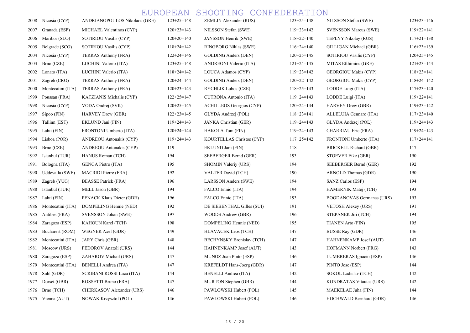| 2008 | Nicosia (CYP)     | ANDRIANOPOULOS Nikolaos (GRE)  | $123+25=148$     | ZEMLIN Alexander (RUS)           | $123+25=148$     | NILSSON Stefan (SWE)             | $123+23=146$     |
|------|-------------------|--------------------------------|------------------|----------------------------------|------------------|----------------------------------|------------------|
| 2007 | Granada (ESP)     | MICHAEL Valentinos (CYP)       | $120+23=143$     | NILSSON Stefan (SWE)             | $119+23=142$     | <b>SVENSSON Marcus (SWE)</b>     | $119+22=141$     |
| 2006 | Maribor (SLO)     | SOTIRIOU Vasilis (CYP)         | $120+20=140$     | JANSSON Henrik (SWE)             | $118+22=140$     | TEPLYY Nikolay (RUS)             | $117+21=138$     |
| 2005 | Belgrade (SCG)    | SOTIRIOU Vasilis (CYP)         | $118 + 24 = 142$ | RINGBORG Niklas (SWE)            | $116+24=140$     | GILLIGAN Michael (GBR)           | $116+23=139$     |
| 2004 | Nicosia (CYP)     | TERRAS Anthony (FRA)           | $122+24=146$     | <b>GOLDING Anders (DEN)</b>      | $120+25=145$     | SOTIRIOU Vasilis (CYP)           | $120+25=145$     |
| 2003 | Brno (CZE)        | LUCHINI Valerio (ITA)          | $123+25=148$     | ANDREONI Valerio (ITA)           | $121+24=145$     | MITAS Efthimios (GRE)            | $121+23=144$     |
| 2002 | Lonato (ITA)      | LUCHINI Valerio (ITA)          | $118+24=142$     | LOUCA Adamos (CYP)               | $119+23=142$     | <b>GEORGIOU Makis (CYP)</b>      | $118+23=141$     |
| 2001 | Zagreb (CRO)      | TERRAS Anthony (FRA)           | $120+24=144$     | <b>GOLDING Anders (DEN)</b>      | $120+22=142$     | <b>GEORGIOU Makis (CYP)</b>      | $118 + 24 = 142$ |
| 2000 | Montecatini (ITA) | TERRAS Anthony (FRA)           | $120+23=143$     | RYCHLIK Lubos (CZE)              | $118+25=143$     | LODDE Luigi (ITA)                | $117+23=140$     |
| 1999 | Poussan (FRA)     | KATZIANIS Michalis (CYP)       | $122+25=147$     | CUTRONA Antonio (ITA)            | $119 + 24 = 143$ | LODDE Luigi (ITA)                | $119+22=141$     |
| 1998 | Nicosia (CYP)     | VODA Ondrej (SVK)              | $120+25=145$     | <b>ACHILLEOS Georgios (CYP)</b>  | $120+24=144$     | <b>HARVEY Drew (GBR)</b>         | $119+23=142$     |
| 1997 | $Sipoo$ (FIN)     | HARVEY Drew (GBR)              | $122+23=145$     | GLYDA Andrzej (POL)              | $118+23=141$     | ALLELUIA Gennaro (ITA)           | $117+23=140$     |
| 1996 | Tallinn (EST)     | EKLUND Jani (FIN)              | $119 + 24 = 143$ | JANKA Christian (GER)            | $119 + 24 = 143$ | GLYDA Andrzej (POL)              | $119 + 24 = 143$ |
| 1995 | Lahti (FIN)       | FRONTONI Umberto (ITA)         | $120+24=144$     | HAKOLA Toni (FIN)                | $119 + 24 = 143$ | CHARRIAU Eric (FRA)              | $119 + 24 = 143$ |
| 1994 | Lisboa (POR)      | ANDREOU Antonakis (CYP)        | $119+24=143$     | KOURTELLAS Christos (CYP)        | $117+25=142$     | FRONTONI Umberto (ITA)           | $117+24=141$     |
| 1993 | Brno (CZE)        | <b>ANDREOU Antonakis (CYP)</b> | 119              | EKLUND Jani (FIN)                | 118              | BRICKELL Richard (GBR)           | 117              |
| 1992 | Istanbul (TUR)    | <b>HANUS Roman (TCH)</b>       | 194              | SEEBERGER Bernd (GER)            | 193              | STOEVER Eike (GER)               | 190              |
| 1991 | Bologna (ITA)     | GENGA Pietro (ITA)             | 195              | SHOMIN Valeriy (URS)             | 194              | SEEBERGER Bernd (GER)            | 192              |
| 1990 | Uddevalla (SWE)   | <b>MACRIDI Pierre (FRA)</b>    | 192              | VALTER David (TCH)               | 190              | ARNOLD Thomas (GDR)              | 190              |
| 1989 | Zagreb (YUG)      | <b>BEASSE Patrick (FRA)</b>    | 196              | LARSSON Anders (SWE)             | 194              | SANZ Carlos (ESP)                | 194              |
| 1988 | Istanbul (TUR)    | MELL Jason (GBR)               | 194              | FALCO Ennio (ITA)                | 194              | HAMERNIK Matej (TCH)             | 193              |
| 1987 | Lahti (FIN)       | PENACK Klaus Dieter (GDR)      | 196              | FALCO Ennio (ITA)                | 193              | <b>BOGDANOVAS Germanas (URS)</b> | 193              |
| 1986 | Montecatini (ITA) | DOMPELING Hennie (NED)         | 192              | DE SIEBENTHAL Gilles (SUI)       | 191              | <b>VETOSH Alexey (URS)</b>       | 191              |
| 1985 | Antibes (FRA)     | SVENSSON Johan (SWE)           | 197              | WOODS Andrew (GBR)               | 196              | STEPANEK Jiri (TCH)              | 194              |
| 1984 | Zaragoza (ESP)    | KAHOUN Karel (TCH)             | 198              | DOMPELING Hennie (NED)           | 195              | <b>TIANEN Arto (FIN)</b>         | 195              |
| 1983 | Bucharest (ROM)   | WEGNER Axel (GDR)              | 149              | <b>HLAVACEK Leos (TCH)</b>       | 147              | <b>BUSSE Ray (GDR)</b>           | 146              |
| 1982 | Montecatini (ITA) | JARY Chris (GBR)               | 148              | <b>BECHYNSKY Bronislav (TCH)</b> | 147              | HAHNENKAMP Josef (AUT)           | 147              |
| 1981 | Moscow (URS)      | FEDOROV Anatoli (URS)          | 144              | HAHNENKAMP Josef (AUT)           | 143              | HOFMANN Norbert (FRG)            | 143              |
| 1980 | Zaragoza (ESP)    | ZAHAROV Michail (URS)          | 147              | MUNOZ Juan Pinto (ESP)           | 146              | LUMBRERAS Ignacio (ESP)          | 146              |
| 1979 | Montecatini (ITA) | <b>BENELLI Andrea (ITA)</b>    | 147              | KREFELDT Hans-Joerg (GDR)        | 147              | PINTO Jose (ESP)                 | 144              |
| 1978 | Suhl (GDR)        | SCRIBANI ROSSI Luca (ITA)      | 144              | BENELLI Andrea (ITA)             | 142              | SOKOL Ladislav (TCH)             | 142              |
| 1977 | Dorset (GBR)      | ROSSETTI Bruno (FRA)           | 147              | MURTON Stephen (GBR)             | 144              | <b>KONDRATAS Vitautas (URS)</b>  | 142              |
| 1976 | Brno (TCH)        | CHERKASOV Alexander (URS)      | 146              | PAWLOWSKI Hubert (POL)           | 145              | MAEKELAE Juha (FIN)              | 144              |
|      | 1975 Vienna (AUT) | <b>NOWAK Krzysztof (POL)</b>   | 146              | PAWLOWSKI Hubert (POL)           | 146              | HOCHWALD Bernhard (GDR)          | 146              |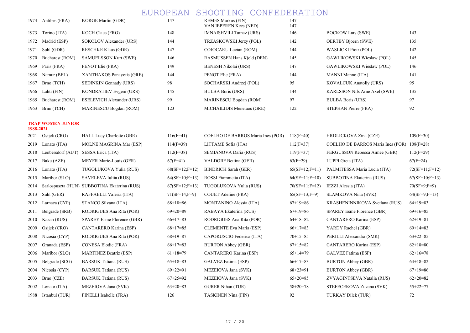147 147 148 IMNAISHVILI Tamaz (URS) 146 BOCKOW Lars (SWE) 143 144 TRZASKOWSKI Jerzy (POL) 142 OERTBY Bjoern (SWE) 135 147 COJOCARU Lucian (ROM) 144 WASLICKI Piotr (POL) 142 146 BUCHAREST (Bucharest CAWLIKOWSKI Wieslaw (POL) 145 RASMUSSEN Hans Kjeld (DEN) 145 149 BENESH Nikolai (URS) 147 GAWLIKOWSKI Wieslaw (POL) 146 144 **PENOT Elie (FRA)** 144 **MANNI Manno (ITA)** 141 198 BOCHARSKI Andrzej (POL) 95 KOVALCUK Anatoliy (URS) 95 145 BULBA Boris (URS) 144 KARLSSON Nils Arne Axel (SWE) 135 199 MARINESCU Bogdan (ROM) 97 BULBA Boris (URS) 97 97 123 BICHAILIDIS Menelaos (GRE) 122 STEPHAN Pierre (FRA) 92

VAN IEPEREN Kees (NED)

147 REMES Markus (FIN)

| 1974 | Antibes (FRA)   | <b>KORGE Martin (GDR)</b>        |
|------|-----------------|----------------------------------|
| 1973 | Torino (ITA)    | <b>KOCH Claus (FRG)</b>          |
| 1972 | Madrid (ESP)    | SOKOLOV Alexander (URS)          |
| 1971 | Suhl (GDR)      | <b>RESCHKE Klaus (GDR)</b>       |
| 1970 | Bucharest (ROM) | <b>SAMUELSSON Kurt (SWE)</b>     |
| 1969 | Paris (FRA)     | PENOT Elie (FRA)                 |
| 1968 | Namur (BEL)     | XANTHAKOS Panayotis (GRE)        |
| 1967 | Brno (TCH)      | SEDINKIN Gennady (URS)           |
| 1966 | Lahti (FIN)     | KONDRATIEV Evgeni (URS)          |
| 1965 | Bucharest (ROM) | <b>ESELEVICH Alexander (URS)</b> |
| 1963 | Brno (TCH)      | <b>MARINESCU Bogdan (ROM)</b>    |

#### TRAP WOMEN JUNIOR 1988-2021

| 2021 | Osijek (CRO)      | HALL Lucy Charlotte (GBR)                    | $116(F=41)$       | COELHO DE BARROS Maria Ines (POR) | $118(F=40)$      | HRDLICKOVA Zina (CZE)             | $109(F=30)$      |
|------|-------------------|----------------------------------------------|-------------------|-----------------------------------|------------------|-----------------------------------|------------------|
| 2019 | Lonato (ITA)      | <b>MOLNE MAGRINA Mar (ESP)</b>               | $114(F=39)$       | LITTAME Sofia (ITA)               | $112(F=37)$      | COELHO DE BARROS Maria Ines (POR) | $108(F=28)$      |
| 2018 | Leobersdorf (AUT) | SESSA Erica (ITA)                            | $112(F=38)$       | SEMIANOVA Daria (RUS)             | $119(F=37)$      | FERGUSSON Rebecca Aimee (GBR)     | $112(F=29)$      |
| 2017 | Baku (AZE)        | MEYER Marie-Louis (GER)                      | $67(F=41)$        | VALDORF Bettina (GER)             | $63(F=29)$       | LUPPI Greta (ITA)                 | $67(F=24)$       |
| 2016 | Lonato (ITA)      | TUGOLUKOVA Yulia (RUS)                       | $68(SF=12; F=12)$ | <b>BINDRICH Sarah (GER)</b>       | $65(SF=12;F=11)$ | PALMITESSA Maria Lucia (ITA)      | $72(SF=11;F=12)$ |
| 2015 | Maribor (SLO)     | SAVELEVA Iulija (RUS)                        | $64(SF=10;F=13)$  | ROSSI Fiammetta (ITA)             | $64(SF=11;F=10)$ | SUBBOTINA Ekaterina (RUS)         | $67(SF=10;F=13)$ |
| 2014 |                   | Sarlospuszta (HUN) SUBBOTINA Ekaterina (RUS) | $67(SF=12;F=13)$  | TUGOLUKOVA Yulia (RUS)            | $70(SF=11;F=12)$ | IEZZI Alessia (ITA)               | $70(SF=9;F=9)$   |
| 2013 | Suhl (GER)        | RAFFAELLI Valeria (ITA)                      | $71(SF=14;F=9)$   | COUET Adeline (FRA)               | $65(SF=13;F=9)$  | SLAMKOVA Nina (SVK)               | $64(SF=9;F=13)$  |
| 2012 | Larnaca (CYP)     | STANCO Silvana (ITA)                         | $68+18=86$        | MONTANINO Alessia (ITA)           | $67+19=86$       | KRASHENINNIKOVA Svetlana (RUS)    | $64+19=83$       |
| 2011 | Belgrade (SRB)    | RODRIGUES Ana Rita (POR)                     | $69+20=89$        | RABAYA Ekaterina (RUS)            | $67+19=86$       | SPAREY Esme Florence (GBR)        | $69+16=85$       |
| 2010 | Kazan (RUS)       | SPAREY Esme Florence (GBR)                   | $66+17=83$        | RODRIGUES Ana Rita (POR)          | $64+18=82$       | CANTARERO Karina (ESP)            | $62+19=81$       |
| 2009 | Osijek (CRO)      | CANTARERO Karina (ESP)                       | $68+17=85$        | CLEMENTE Eva Maria (ESP)          | $66+17=83$       | YARDY Rachel (GBR)                | $69+14=83$       |
| 2008 | Nicosia (CYP)     | RODRIGUES Ana Rita (POR)                     | $68+19=87$        | CAPORUSCIO Federica (ITA)         | $70+15=85$       | PERILLI Alessandra (SMR)          | $63+22=85$       |
| 2007 | Granada (ESP)     | CONESA Elodie (FRA)                          | $66+17=83$        | <b>BURTON Abbey (GBR)</b>         | $67+15=82$       | CANTARERO Karina (ESP)            | $62+18=80$       |
| 2006 | Maribor (SLO)     | <b>MARTINEZ Beatriz (ESP)</b>                | $61+18=79$        | CANTARERO Karina (ESP)            | $65+14=79$       | GALVEZ Fatima (ESP)               | $62+16=78$       |
| 2005 | Belgrade (SCG)    | <b>BARSUK Tatiana (RUS)</b>                  | $65+18=83$        | GALVEZ Fatima (ESP)               | $66+17=83$       | <b>BURTON Abbey (GBR)</b>         | $64+18=82$       |
| 2004 | Nicosia (CYP)     | <b>BARSUK Tatiana (RUS)</b>                  | $69+22=91$        | MEZEIOVA Jana (SVK)               | $68+23=91$       | <b>BURTON Abbey (GBR)</b>         | $67+19=86$       |
| 2003 | Brno (CZE)        | <b>BARSUK Tatiana (RUS)</b>                  | $67+25=92$        | MEZEIOVA Jana (SVK)               | $65+20=85$       | ZVYAGINTSEVA Natalia (RUS)        | $62+20=82$       |
| 2002 | Lonato (ITA)      | MEZEIOVA Jana (SVK)                          | $63+20=83$        | <b>GURER Nihan (TUR)</b>          | $58+20=78$       | STEFECEKOVA Zuzana (SVK)          | $55+22=77$       |
| 1988 | Istanbul (TUR)    | PINELLI Isabelle (FRA)                       | 126               | <b>TASKINEN Nina (FIN)</b>        | 92               | TURKAY Dilek (TUR)                | 72               |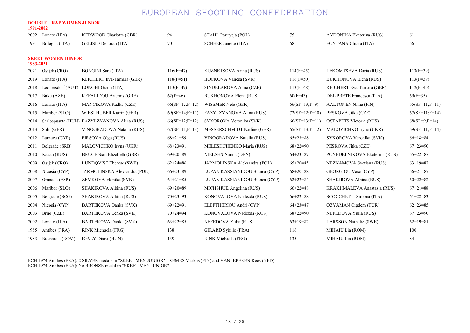### DOUBLE TRAP WOMEN JUNIOR

| Lonato (ITA)   | KERWOOD Charlotte (GBR)      | 94                                                                                                                                           | STAHL Partrycja (POL)          | 75                | AVDONINA Ekaterina (RUS)       | 61               |
|----------------|------------------------------|----------------------------------------------------------------------------------------------------------------------------------------------|--------------------------------|-------------------|--------------------------------|------------------|
| Bologna (ITA)  | GELISIO Deborah (ITA)        | 70                                                                                                                                           | <b>SCHEER Janette (ITA)</b>    | 68                | FONTANA Chiara (ITA)           | 66               |
|                |                              |                                                                                                                                              |                                |                   |                                |                  |
| Osijek (CRO)   | <b>BONGINI Sara (ITA)</b>    | $116(F=47)$                                                                                                                                  | KUZNETSOVA Arina (RUS)         | $114(F=45)$       | LEKOMTSEVA Daria (RUS)         | $113(F=39)$      |
| Lonato (ITA)   | REICHERT Eva-Tamara (GER)    | $118(F=51)$                                                                                                                                  | HOCKOVA Vanesa (SVK)           | $116(F=50)$       | <b>BUKHONOVA Elena (RUS)</b>   | $113(F=39)$      |
|                |                              | $113(F=49)$                                                                                                                                  | SINDELAROVA Anna (CZE)         | $113(F=48)$       | REICHERT Eva-Tamara (GER)      | $112(F=40)$      |
| Baku (AZE)     | KEFALIDOU Artemis (GRE)      | $62(F=46)$                                                                                                                                   | BUKHONOVA Elena (RUS)          | $60(F=43)$        | DEL PRETE Francesca (ITA)      | $69(F=35)$       |
| Lonato (ITA)   | MANCIKOVA Radka (CZE)        | $66(SF=12; F=12)$                                                                                                                            | WISSMER Nele (GER)             | $66(SF=13;F=9)$   | <b>AALTONEN Niina (FIN)</b>    | $65(SF=11;F=11)$ |
| Maribor (SLO)  | WIESLHUBER Katrin (GER)      | $69(SF=14;F=11)$                                                                                                                             | FAZYLZYANOVA Alina (RUS)       | $72(SF=12;F=10)$  | PESKOVA Jitka (CZE)            | $67(SF=11;F=14)$ |
|                |                              | $66(SF=12; F=12)$                                                                                                                            | SYKOROVA Veronika (SVK)        | $66(SF=13;F=11)$  | <b>OSTAPETS Victoria (RUS)</b> | $68(SF=9; F=14)$ |
| Suhl (GER)     | VINOGRADOVA Natalia (RUS)    | $67(SF=11; F=13)$                                                                                                                            | MESSERSCHMIDT Nadine (GER)     | $65(SF=13; F=12)$ | MALOVICHKO Iryna (UKR)         | $69(SF=11;F=14)$ |
| Larnaca (CYP)  | FIRSOVA Olga (RUS)           | $68 + 21 = 89$                                                                                                                               | VINOGRADOVA Natalia (RUS)      | $65+23=88$        | SYKOROVA Veronika (SVK)        | $66+18=84$       |
| Belgrade (SRB) | MALOVICHKO Iryna (UKR)       | $68+23=91$                                                                                                                                   | MELESHCHENKO Maria (RUS)       | $68+22=90$        | PESKOVA Jitka (CZE)            | $67+23=90$       |
| Kazan (RUS)    | BRUCE Sian Elizabeth (GBR)   | $69+20=89$                                                                                                                                   | NIELSEN Nanna (DEN)            | $64+23=87$        | PONEDELNIKOVA Ekaterina (RUS)  | $65 + 22 = 87$   |
| Osijek (CRO)   | LUNDOVIST Therese (SWE)      | $62+24=86$                                                                                                                                   | JARMOLINSKA Aleksandra (POL)   | $65+20=85$        | NEZNAMOVA Svetlana (RUS)       | $63+19=82$       |
| Nicosia (CYP)  | JARMOLINSKA Aleksandra (POL) | $66+23=89$                                                                                                                                   | LUPAN KASSIANIDOU Bianca (CYP) | $68+20=88$        | <b>GEORGIOU Vaso (CYP)</b>     | $66+21=87$       |
| Granada (ESP)  | ZEMKOVA Monika (SVK)         | $64+21=85$                                                                                                                                   | LUPAN KASSIANIDOU Bianca (CYP) | $62+22=84$        | SHAKIROVA Albina (RUS)         | $60+22=82$       |
| Maribor (SLO)  | SHAKIROVA Albina (RUS)       | $69+20=89$                                                                                                                                   | MICHSHUK Angelina (RUS)        | $66+22=88$        | KRAKHMALEVA Anastasia (RUS)    | $67+21=88$       |
| Belgrade (SCG) | SHAKIROVA Albina (RUS)       | $70+23=93$                                                                                                                                   | KONOVALOVA Nadezda (RUS)       | $66+22=88$        | SCOCCHETTI Simona (ITA)        | $61+22=83$       |
| Nicosia (CYP)  | <b>BARTEKOVA Danka (SVK)</b> | $69+22=91$                                                                                                                                   | ELEFTHERIOU Andri (CYP)        | $64+23=87$        | OZYAMAN Cigdem (TUR)           | $62+23=85$       |
| Brno (CZE)     | BARTEKOVA Lenka (SVK)        | $70+24=94$                                                                                                                                   | KONOVALOVA Nadezda (RUS)       | $68+22=90$        | NEFEDOVA Yulia (RUS)           | $67+23=90$       |
| Lonato (ITA)   | <b>BARTEKOVA Danka (SVK)</b> | $63+22=85$                                                                                                                                   | NEFEDOVA Yulia (RUS)           | $63+19=82$        | LARSSON Nathalie (SWE)         | $62+19=81$       |
| Antibes (FRA)  | RINK Michaela (FRG)          | 138                                                                                                                                          | GIRARD Sybille (FRA)           | 116               | MIHAIU Lia (ROM)               | 100              |
|                | 1991-2002<br>1983-2021       | DUUBLE TKAP WUMEN JUNIUK<br><b>SKEET WOMEN JUNIOR</b><br>Leobersdorf (AUT) LONGHI Giada (ITA)<br>Sarlospuszta (HUN) FAZYLZYANOVA Alina (RUS) |                                |                   |                                |                  |

1983 Bucharest (ROM) IGALY Diana (HUN) 139 RINK Michaela (FRG) 135 MIHAIU Lia (ROM) 84

ECH 1974 Antibes (FRA): 2 SILVER medals in "SKEET MEN JUNIOR" - REMES Markus (FIN) and VAN IEPEREN Kees (NED) ECH 1974 Antibes (FRA): No BRONZE medal in "SKEET MEN JUNIOR"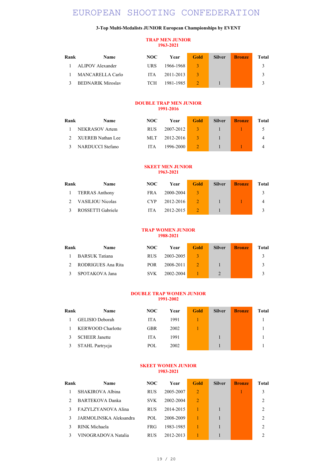### 3-Top Multi-Medalists JUNIOR European Championships by EVENT

### TRAP MEN JUNIOR 1963-2021

| Rank | <b>Name</b>              | NOC.       | Year          | Gold | <b>Silver</b> | <b>Bronze</b> | Total |
|------|--------------------------|------------|---------------|------|---------------|---------------|-------|
|      | ALIPOV Alexander         | <b>URS</b> | 1966-1968     |      |               |               |       |
|      | MANCARELLA Carlo         | ITA.       | $2011 - 2013$ |      |               |               |       |
|      | <b>BEDNARIK Miroslav</b> | <b>TCH</b> | 1981-1985     |      |               |               |       |

### DOUBLE TRAP MEN JUNIOR 1991-2016

| Rank | <b>Name</b>             | NOC.       | Year          | Gold | <b>Silver</b> | <b>Bronze</b> | Total |
|------|-------------------------|------------|---------------|------|---------------|---------------|-------|
|      | NEKRASOV Artem          | <b>RUS</b> | 2007-2012     |      |               |               |       |
|      | XUEREB Nathan Lee       | MLT.       | $2012 - 2016$ |      |               |               |       |
|      | <b>NARDUCCI</b> Stefano | <b>ITA</b> | 1996-2000     |      |               |               |       |

### SKEET MEN JUNIOR 1963-2021

| Rank | <b>Name</b>             | NOC.       | Year      | Gold | <b>Silver</b> | <b>Bronze</b> | Total |
|------|-------------------------|------------|-----------|------|---------------|---------------|-------|
|      | <b>TERRAS Anthony</b>   | FR A       | 2000-2004 |      |               |               |       |
|      | <b>VASILIOU Nicolas</b> | <b>CYP</b> | 2012-2016 |      |               |               | 4     |
|      | ROSSETTI Gabriele       | <b>ITA</b> | 2012-2015 |      |               |               |       |

### TRAP WOMEN JUNIOR 1988-2021

| Rank | <b>Name</b>           | NOC.       | Year      | Gold | <b>Silver</b> | <b>Bronze</b> | Total |
|------|-----------------------|------------|-----------|------|---------------|---------------|-------|
|      | <b>BARSUK Tatiana</b> | <b>RUS</b> | 2003-2005 |      |               |               |       |
|      | RODRIGUES Ana Rita    | <b>POR</b> | 2008-2011 |      |               |               |       |
|      | SPOTAKOVA Jana        | <b>SVK</b> | 2002-2004 |      |               |               |       |

### DOUBLE TRAP WOMEN JUNIOR 1991-2002

| Rank | Name                     | NOC        | Year | <b>Gold</b> | <b>Silver</b> | <b>Bronze</b> | Total |
|------|--------------------------|------------|------|-------------|---------------|---------------|-------|
|      | GELISIO Deborah          | <b>ITA</b> | 1991 |             |               |               |       |
|      | <b>KERWOOD Charlotte</b> | <b>GBR</b> | 2002 |             |               |               |       |
|      | <b>SCHEER Janette</b>    | <b>ITA</b> | 1991 |             |               |               |       |
|      | STAHL Partrycja          | POL        | 2002 |             |               |               |       |

#### SKEET WOMEN JUNIOR 1983-2021

| Rank | <b>Name</b>            | NOC.       | Year      | Gold           | <b>Silver</b> | <b>Bronze</b> | Total          |
|------|------------------------|------------|-----------|----------------|---------------|---------------|----------------|
|      | SHAKIROVA Albina       | <b>RUS</b> | 2005-2007 | $\overline{2}$ |               |               |                |
|      | BARTEKOVA Danka        | <b>SVK</b> | 2002-2004 | $\mathfrak{D}$ |               |               | $\mathfrak{D}$ |
|      | FAZYLZYANOVA Alina     | <b>RUS</b> | 2014-2015 |                |               |               | $\mathfrak{D}$ |
| 3    | JARMOLINSKA Aleksandra | POL        | 2008-2009 |                |               |               | $\mathfrak{D}$ |
|      | RINK Michaela          | <b>FRG</b> | 1983-1985 |                |               |               | $\mathfrak{D}$ |
|      | VINOGRADOVA Natalia    | <b>RUS</b> | 2012-2013 |                |               |               |                |